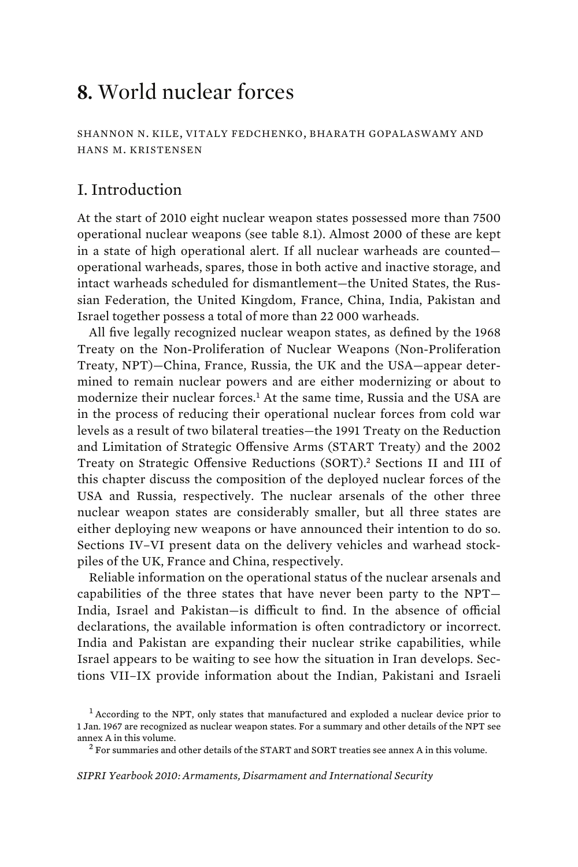# **8.** World nuclear forces

SHANNON N. KILE, VITALY FEDCHENKO, BHARATH GOPALASWAMY AND HANS M. KRISTENSEN

# I. Introduction

At the start of 2010 eight nuclear weapon states possessed more than 7500 operational nuclear weapons (see table 8.1). Almost 2000 of these are kept in a state of high operational alert. If all nuclear warheads are counted operational warheads, spares, those in both active and inactive storage, and intact warheads scheduled for dismantlement—the United States, the Russian Federation, the United Kingdom, France, China, India, Pakistan and Israel together possess a total of more than 22 000 warheads.

All five legally recognized nuclear weapon states, as defined by the 1968 Treaty on the Non-Proliferation of Nuclear Weapons (Non-Proliferation Treaty, NPT)—China, France, Russia, the UK and the USA—appear determined to remain nuclear powers and are either modernizing or about to modernize their nuclear forces.<sup>1</sup> At the same time, Russia and the USA are in the process of reducing their operational nuclear forces from cold war levels as a result of two bilateral treaties—the 1991 Treaty on the Reduction and Limitation of Strategic Offensive Arms (START Treaty) and the 2002 Treaty on Strategic Offensive Reductions (SORT).<sup>2</sup> Sections II and III of this chapter discuss the composition of the deployed nuclear forces of the USA and Russia, respectively. The nuclear arsenals of the other three nuclear weapon states are considerably smaller, but all three states are either deploying new weapons or have announced their intention to do so. Sections IV–VI present data on the delivery vehicles and warhead stockpiles of the UK, France and China, respectively.

Reliable information on the operational status of the nuclear arsenals and capabilities of the three states that have never been party to the NPT— India, Israel and Pakistan—is difficult to find. In the absence of official declarations, the available information is often contradictory or incorrect. India and Pakistan are expanding their nuclear strike capabilities, while Israel appears to be waiting to see how the situation in Iran develops. Sections VII–IX provide information about the Indian, Pakistani and Israeli

<sup>&</sup>lt;sup>1</sup> According to the NPT, only states that manufactured and exploded a nuclear device prior to 1 Jan. 1967 are recognized as nuclear weapon states. For a summary and other details of the NPT see annex A in this volume. <sup>2</sup>

<sup>&</sup>lt;sup>2</sup> For summaries and other details of the START and SORT treaties see annex A in this volume.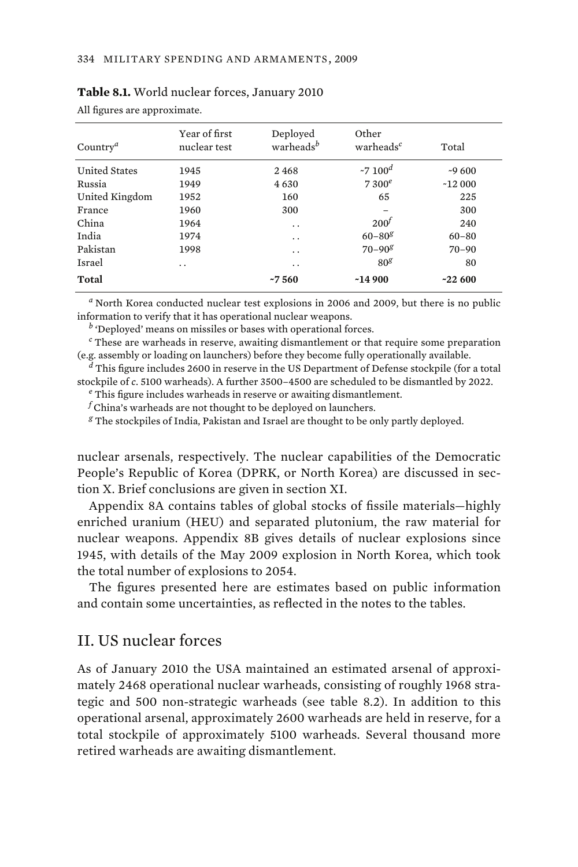| Country <sup><math>a</math></sup> | Year of first<br>nuclear test | Deployed<br>warheads <sup>b</sup> | Other<br>warheads <sup>c</sup> | Total     |
|-----------------------------------|-------------------------------|-----------------------------------|--------------------------------|-----------|
| <b>United States</b>              | 1945                          | 2468                              | $~5$ $~100$ <sup>d</sup>       | $-9600$   |
| Russia                            | 1949                          | 4630                              | $7300^e$                       | $-12000$  |
| United Kingdom                    | 1952                          | 160                               | 65                             | 225       |
| France                            | 1960                          | 300                               |                                | 300       |
| China                             | 1964                          | $\ddot{\phantom{0}}$              | $200^{\circ}$                  | 240       |
| India                             | 1974                          | . .                               | $60 - 80g$                     | $60 - 80$ |
| Pakistan                          | 1998                          | $\ddot{\phantom{0}}$              | $70 - 90g$                     | $70 - 90$ |
| <b>Israel</b>                     | . .                           | . .                               | 80 <sup>g</sup>                | 80        |
| Total                             |                               | ~560                              | ~14900                         | $-22600$  |

#### **Table 8.1.** World nuclear forces, January 2010

All figures are approximate.

*a* North Korea conducted nuclear test explosions in 2006 and 2009, but there is no public information to verify that it has operational nuclear weapons.

*b* 'Deployed' means on missiles or bases with operational forces.

*c* These are warheads in reserve, awaiting dismantlement or that require some preparation (e.g. assembly or loading on launchers) before they become fully operationally available.

*d* This figure includes 2600 in reserve in the US Department of Defense stockpile (for a total stockpile of *c*. 5100 warheads). A further 3500–4500 are scheduled to be dismantled by 2022. *<sup>e</sup>*

 $e$ <sup>e</sup> This figure includes warheads in reserve or awaiting dismantlement.

*f* China's warheads are not thought to be deployed on launchers.

*g* The stockpiles of India, Pakistan and Israel are thought to be only partly deployed.

nuclear arsenals, respectively. The nuclear capabilities of the Democratic People's Republic of Korea (DPRK, or North Korea) are discussed in section X. Brief conclusions are given in section XI.

Appendix 8A contains tables of global stocks of fissile materials—highly enriched uranium (HEU) and separated plutonium, the raw material for nuclear weapons. Appendix 8B gives details of nuclear explosions since 1945, with details of the May 2009 explosion in North Korea, which took the total number of explosions to 2054.

The figures presented here are estimates based on public information and contain some uncertainties, as reflected in the notes to the tables.

# II. US nuclear forces

As of January 2010 the USA maintained an estimated arsenal of approximately 2468 operational nuclear warheads, consisting of roughly 1968 strategic and 500 non-strategic warheads (see table 8.2). In addition to this operational arsenal, approximately 2600 warheads are held in reserve, for a total stockpile of approximately 5100 warheads. Several thousand more retired warheads are awaiting dismantlement.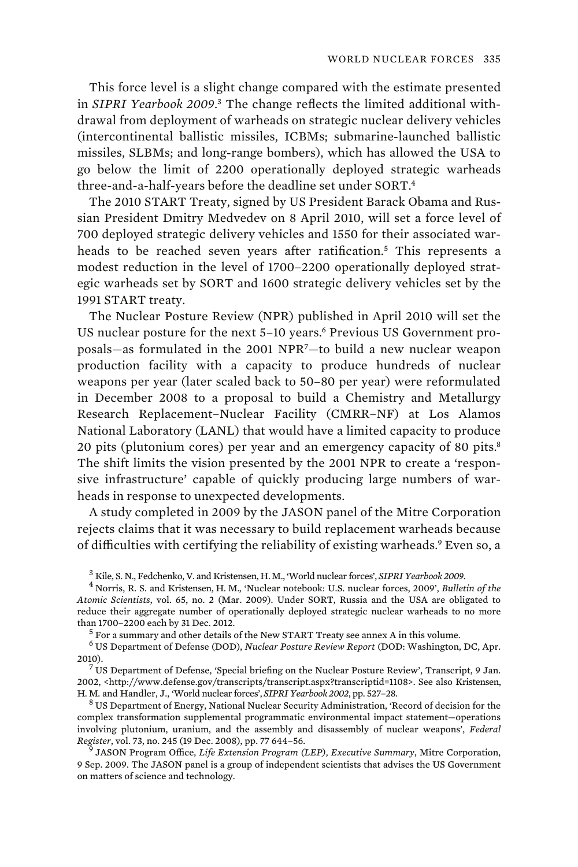This force level is a slight change compared with the estimate presented in *SIPRI Yearbook 2009*. 3 The change reflects the limited additional withdrawal from deployment of warheads on strategic nuclear delivery vehicles (intercontinental ballistic missiles, ICBMs; submarine-launched ballistic missiles, SLBMs; and long-range bombers), which has allowed the USA to go below the limit of 2200 operationally deployed strategic warheads three-and-a-half-years before the deadline set under SORT.<sup>4</sup>

The 2010 START Treaty, signed by US President Barack Obama and Russian President Dmitry Medvedev on 8 April 2010, will set a force level of 700 deployed strategic delivery vehicles and 1550 for their associated warheads to be reached seven years after ratification.<sup>5</sup> This represents a modest reduction in the level of 1700–2200 operationally deployed strategic warheads set by SORT and 1600 strategic delivery vehicles set by the 1991 START treaty.

The Nuclear Posture Review (NPR) published in April 2010 will set the US nuclear posture for the next 5-10 years.<sup>6</sup> Previous US Government proposals—as formulated in the 2001 NPR<sup>7</sup>—to build a new nuclear weapon production facility with a capacity to produce hundreds of nuclear weapons per year (later scaled back to 50–80 per year) were reformulated in December 2008 to a proposal to build a Chemistry and Metallurgy Research Replacement–Nuclear Facility (CMRR–NF) at Los Alamos National Laboratory (LANL) that would have a limited capacity to produce 20 pits (plutonium cores) per year and an emergency capacity of 80 pits.<sup>8</sup> The shift limits the vision presented by the 2001 NPR to create a 'responsive infrastructure' capable of quickly producing large numbers of warheads in response to unexpected developments.

A study completed in 2009 by the JASON panel of the Mitre Corporation rejects claims that it was necessary to build replacement warheads because of difficulties with certifying the reliability of existing warheads.<sup>9</sup> Even so, a

<sup>3</sup> Kile, S. N., Fedchenko, V. and Kristensen, H. M., 'World nuclear forces', *SIPRI Yearbook 2009.*<br><sup>4</sup> Norrie, B. S. and Kristensen, H. M., 'Nuclear potebook, U.S. nuclear forces, 2000', *Pullat* 

<sup>7</sup> US Department of Defense, 'Special briefing on the Nuclear Posture Review', Transcript, 9 Jan. 2002, <http://www.defense.gov/transcripts/transcript.aspx?transcriptid=1108>. See also Kristensen, H. M. and Handler, J., 'World nuclear forces', *SIPRI Yearbook 2002*, pp. 527–28. <sup>8</sup>

 US Department of Energy, National Nuclear Security Administration, 'Record of decision for the complex transformation supplemental programmatic environmental impact statement—operations involving plutonium, uranium, and the assembly and disassembly of nuclear weapons', *Federal Register*, vol. 73, no. 245 (19 Dec. 2008), pp. 77 644–56. <sup>9</sup>

 JASON Program Office, *Life Extension Program (LEP), Executive Summary*, Mitre Corporation, 9 Sep. 2009. The JASON panel is a group of independent scientists that advises the US Government on matters of science and technology.

Norris, R. S. and Kristensen, H. M., 'Nuclear notebook: U.S. nuclear forces, 2009', *Bulletin of the Atomic Scientists*, vol. 65, no. 2 (Mar. 2009). Under SORT, Russia and the USA are obligated to reduce their aggregate number of operationally deployed strategic nuclear warheads to no more than 1700–2200 each by 31 Dec. 2012.<br><sup>5</sup> For a summary and other details of the New START Treaty see annex A in this volume.

<sup>6</sup> US Department of Defense (DOD), *Nuclear Posture Review Report* (DOD: Washington, DC, Apr. 2010).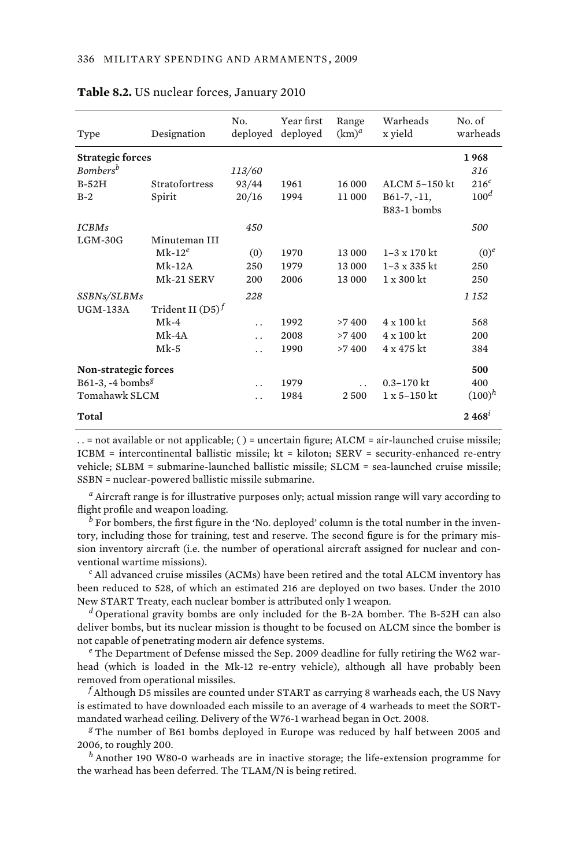| Type                         | Designation         | No.<br>deployed      | Year first<br>deployed | Range<br>$(km)^d$    | Warheads<br>x yield   | No. of<br>warheads |
|------------------------------|---------------------|----------------------|------------------------|----------------------|-----------------------|--------------------|
| <b>Strategic forces</b>      |                     |                      |                        |                      |                       | 1968               |
| Bombers <sup>b</sup>         |                     | 113/60               |                        |                      |                       | 316                |
| $B-52H$                      | Stratofortress      | 93/44                | 1961                   | 16 000               | ALCM 5-150 kt         | $216^c$            |
| $B-2$                        | Spirit              | 20/16                | 1994                   | 11000                | $B61-7, -11,$         | 100 <sup>d</sup>   |
|                              |                     |                      |                        |                      | B83-1 bombs           |                    |
| <b>ICBMs</b>                 |                     | 450                  |                        |                      |                       | 500                |
| $LGM-30G$                    | Minuteman III       |                      |                        |                      |                       |                    |
|                              | $Mk-12^e$           | (0)                  | 1970                   | 13 000               | $1 - 3 \times 170$ kt | $(0)^e$            |
|                              | $Mk-12A$            | 250                  | 1979                   | 13 000               | $1 - 3 \times 335$ kt | 250                |
|                              | Mk-21 SERV          | 200                  | 2006                   | 13 000               | $1 \times 300$ kt     | 250                |
| SSBNs/SLBMs                  |                     | 228                  |                        |                      |                       | 1 1 5 2            |
| <b>UGM-133A</b>              | Trident II $(D5)^f$ |                      |                        |                      |                       |                    |
|                              | $Mk-4$              | $\ddot{\phantom{0}}$ | 1992                   | >7400                | 4 x 100 kt            | 568                |
|                              | $Mk-4A$             | $\ddot{\phantom{0}}$ | 2008                   | >7400                | 4 x 100 kt            | 200                |
|                              | $Mk-5$              | $\ddot{\phantom{0}}$ | 1990                   | >7400                | 4 x 475 kt            | 384                |
| <b>Non-strategic forces</b>  |                     |                      |                        |                      |                       | 500                |
| B61-3, -4 bombs <sup>g</sup> |                     | $\ddot{\phantom{0}}$ | 1979                   | $\ddot{\phantom{0}}$ | $0.3 - 170$ kt        | 400                |
| Tomahawk SLCM                |                     | . .                  | 1984                   | 2500                 | $1 \times 5 - 150$ kt | $(100)^h$          |
| Total                        |                     |                      |                        |                      |                       | $2.468^t$          |
|                              |                     |                      |                        |                      |                       |                    |

#### **Table 8.2.** US nuclear forces, January 2010

. . = not available or not applicable; ( ) = uncertain figure; ALCM = air-launched cruise missile; ICBM = intercontinental ballistic missile; kt = kiloton; SERV = security-enhanced re-entry vehicle; SLBM = submarine-launched ballistic missile; SLCM = sea-launched cruise missile; SSBN = nuclear-powered ballistic missile submarine.

*a* Aircraft range is for illustrative purposes only; actual mission range will vary according to flight profile and weapon loading.

*b* For bombers, the first figure in the 'No. deployed' column is the total number in the inventory, including those for training, test and reserve. The second figure is for the primary mission inventory aircraft (i.e. the number of operational aircraft assigned for nuclear and conventional wartime missions). *<sup>c</sup>*

 $\epsilon$  All advanced cruise missiles (ACMs) have been retired and the total ALCM inventory has been reduced to 528, of which an estimated 216 are deployed on two bases. Under the 2010 New START Treaty, each nuclear bomber is attributed only 1 weapon. *<sup>d</sup>*

 $d$  Operational gravity bombs are only included for the B-2A bomber. The B-52H can also deliver bombs, but its nuclear mission is thought to be focused on ALCM since the bomber is not capable of penetrating modern air defence systems.

 $e$ <sup>e</sup> The Department of Defense missed the Sep. 2009 deadline for fully retiring the W62 warhead (which is loaded in the Mk-12 re-entry vehicle), although all have probably been removed from operational missiles.

 $^f$ Although D5 missiles are counted under START as carrying 8 warheads each, the US Navy is estimated to have downloaded each missile to an average of 4 warheads to meet the SORTmandated warhead ceiling. Delivery of the W76-1 warhead began in Oct. 2008. *<sup>g</sup>*

 The number of B61 bombs deployed in Europe was reduced by half between 2005 and 2006, to roughly 200.

*<sup>h</sup>* Another 190 W80-0 warheads are in inactive storage; the life-extension programme for the warhead has been deferred. The TLAM/N is being retired.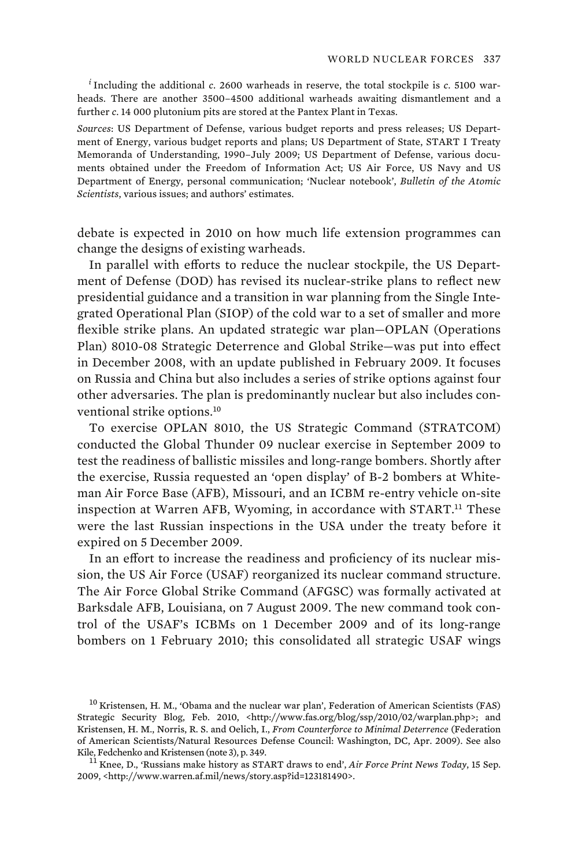*i* Including the additional *c*. 2600 warheads in reserve, the total stockpile is *c*. 5100 warheads. There are another 3500–4500 additional warheads awaiting dismantlement and a further *c*. 14 000 plutonium pits are stored at the Pantex Plant in Texas.

*Sources*: US Department of Defense, various budget reports and press releases; US Department of Energy, various budget reports and plans; US Department of State, START I Treaty Memoranda of Understanding, 1990–July 2009; US Department of Defense, various documents obtained under the Freedom of Information Act; US Air Force, US Navy and US Department of Energy, personal communication; 'Nuclear notebook', *Bulletin of the Atomic Scientists*, various issues; and authors' estimates.

debate is expected in 2010 on how much life extension programmes can change the designs of existing warheads.

In parallel with efforts to reduce the nuclear stockpile, the US Department of Defense (DOD) has revised its nuclear-strike plans to reflect new presidential guidance and a transition in war planning from the Single Integrated Operational Plan (SIOP) of the cold war to a set of smaller and more flexible strike plans. An updated strategic war plan—OPLAN (Operations Plan) 8010-08 Strategic Deterrence and Global Strike—was put into effect in December 2008, with an update published in February 2009. It focuses on Russia and China but also includes a series of strike options against four other adversaries. The plan is predominantly nuclear but also includes conventional strike options.<sup>10</sup>

To exercise OPLAN 8010, the US Strategic Command (STRATCOM) conducted the Global Thunder 09 nuclear exercise in September 2009 to test the readiness of ballistic missiles and long-range bombers. Shortly after the exercise, Russia requested an 'open display' of B-2 bombers at Whiteman Air Force Base (AFB), Missouri, and an ICBM re-entry vehicle on-site inspection at Warren AFB, Wyoming, in accordance with START.<sup>11</sup> These were the last Russian inspections in the USA under the treaty before it expired on 5 December 2009.

In an effort to increase the readiness and proficiency of its nuclear mission, the US Air Force (USAF) reorganized its nuclear command structure. The Air Force Global Strike Command (AFGSC) was formally activated at Barksdale AFB, Louisiana, on 7 August 2009. The new command took control of the USAF's ICBMs on 1 December 2009 and of its long-range bombers on 1 February 2010; this consolidated all strategic USAF wings

<sup>10</sup> Kristensen, H. M., 'Obama and the nuclear war plan', Federation of American Scientists (FAS) Strategic Security Blog, Feb. 2010, <http://www.fas.org/blog/ssp/2010/02/warplan.php>; and Kristensen, H. M., Norris, R. S. and Oelich, I., *From Counterforce to Minimal Deterrence* (Federation of American Scientists/Natural Resources Defense Council: Washington, DC, Apr. 2009). See also Kile, Fedchenko and Kristensen (note 3), p. 349.<br><sup>11</sup> Knee, D., 'Russians make history as START draws to end', *Air Force Print News Today*, 15 Sep.

<sup>2009, &</sup>lt;http://www.warren.af.mil/news/story.asp?id=123181490>.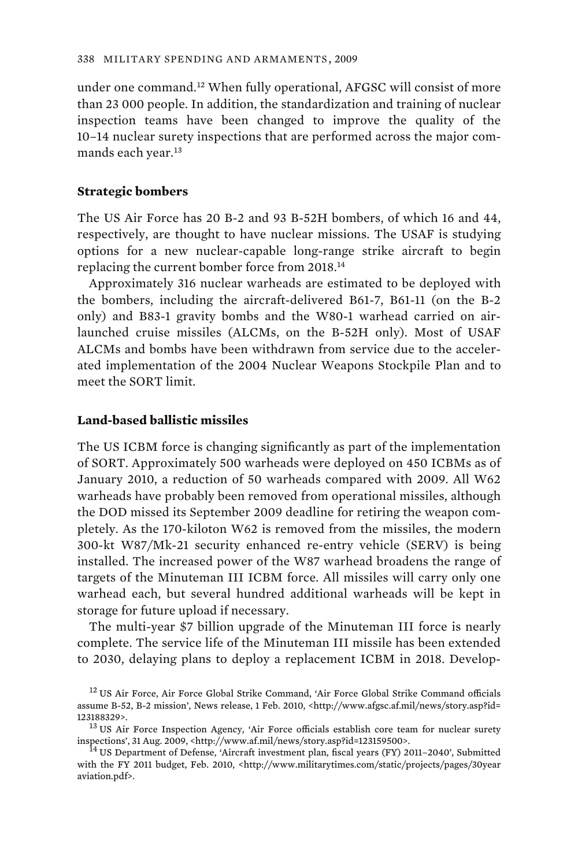under one command.<sup>12</sup> When fully operational, AFGSC will consist of more than 23 000 people. In addition, the standardization and training of nuclear inspection teams have been changed to improve the quality of the 10–14 nuclear surety inspections that are performed across the major commands each year.<sup>13</sup>

### **Strategic bombers**

The US Air Force has 20 B-2 and 93 B-52H bombers, of which 16 and 44, respectively, are thought to have nuclear missions. The USAF is studying options for a new nuclear-capable long-range strike aircraft to begin replacing the current bomber force from 2018.<sup>14</sup>

Approximately 316 nuclear warheads are estimated to be deployed with the bombers, including the aircraft-delivered B61-7, B61-11 (on the B-2 only) and B83-1 gravity bombs and the W80-1 warhead carried on airlaunched cruise missiles (ALCMs, on the B-52H only). Most of USAF ALCMs and bombs have been withdrawn from service due to the accelerated implementation of the 2004 Nuclear Weapons Stockpile Plan and to meet the SORT limit.

### **Land-based ballistic missiles**

The US ICBM force is changing significantly as part of the implementation of SORT. Approximately 500 warheads were deployed on 450 ICBMs as of January 2010, a reduction of 50 warheads compared with 2009. All W62 warheads have probably been removed from operational missiles, although the DOD missed its September 2009 deadline for retiring the weapon completely. As the 170-kiloton W62 is removed from the missiles, the modern 300-kt W87/Mk-21 security enhanced re-entry vehicle (SERV) is being installed. The increased power of the W87 warhead broadens the range of targets of the Minuteman III ICBM force. All missiles will carry only one warhead each, but several hundred additional warheads will be kept in storage for future upload if necessary.

The multi-year \$7 billion upgrade of the Minuteman III force is nearly complete. The service life of the Minuteman III missile has been extended to 2030, delaying plans to deploy a replacement ICBM in 2018. Develop-

<sup>&</sup>lt;sup>12</sup> US Air Force, Air Force Global Strike Command, 'Air Force Global Strike Command officials assume B-52, B-2 mission', News release, 1 Feb. 2010, <http://www.afgsc.af.mil/news/story.asp?id=

<sup>&</sup>lt;sup>13</sup> US Air Force Inspection Agency, 'Air Force officials establish core team for nuclear surety inspections', 31 Aug. 2009, <http://www.af.mil/news/story.asp?id=123159500>.<br><sup>14</sup> US Department of Defense, 'Aircraft investment plan, fiscal years (FY) 2011–2040', Submitted

with the FY 2011 budget, Feb. 2010, <http://www.militarytimes.com/static/projects/pages/30year aviation.pdf>.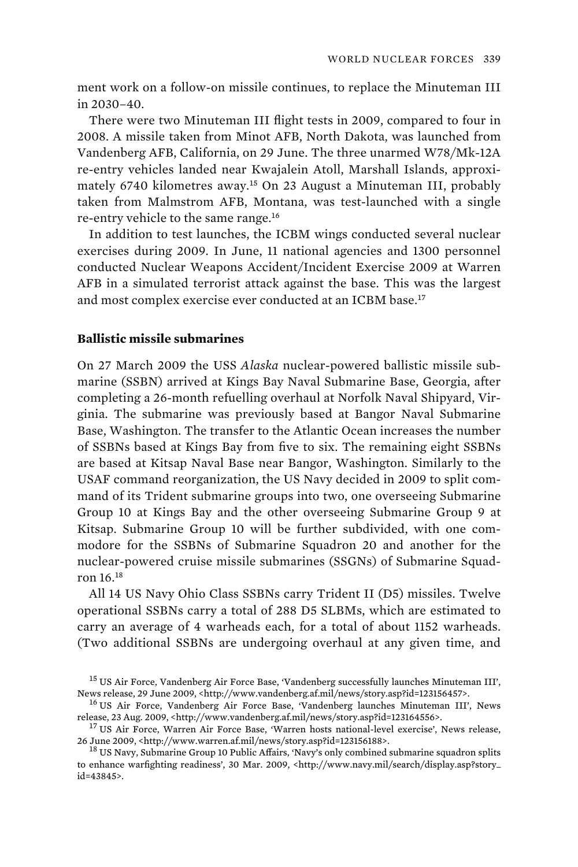ment work on a follow-on missile continues, to replace the Minuteman III in 2030–40.

There were two Minuteman III flight tests in 2009, compared to four in 2008. A missile taken from Minot AFB, North Dakota, was launched from Vandenberg AFB, California, on 29 June. The three unarmed W78/Mk-12A re-entry vehicles landed near Kwajalein Atoll, Marshall Islands, approximately 6740 kilometres away.<sup>15</sup> On 23 August a Minuteman III, probably taken from Malmstrom AFB, Montana, was test-launched with a single re-entry vehicle to the same range.<sup>16</sup>

In addition to test launches, the ICBM wings conducted several nuclear exercises during 2009. In June, 11 national agencies and 1300 personnel conducted Nuclear Weapons Accident/Incident Exercise 2009 at Warren AFB in a simulated terrorist attack against the base. This was the largest and most complex exercise ever conducted at an ICBM base.<sup>17</sup>

### **Ballistic missile submarines**

On 27 March 2009 the USS *Alaska* nuclear-powered ballistic missile submarine (SSBN) arrived at Kings Bay Naval Submarine Base, Georgia, after completing a 26-month refuelling overhaul at Norfolk Naval Shipyard, Virginia. The submarine was previously based at Bangor Naval Submarine Base, Washington. The transfer to the Atlantic Ocean increases the number of SSBNs based at Kings Bay from five to six. The remaining eight SSBNs are based at Kitsap Naval Base near Bangor, Washington. Similarly to the USAF command reorganization, the US Navy decided in 2009 to split command of its Trident submarine groups into two, one overseeing Submarine Group 10 at Kings Bay and the other overseeing Submarine Group 9 at Kitsap. Submarine Group 10 will be further subdivided, with one commodore for the SSBNs of Submarine Squadron 20 and another for the nuclear-powered cruise missile submarines (SSGNs) of Submarine Squadron 16.<sup>18</sup>

All 14 US Navy Ohio Class SSBNs carry Trident II (D5) missiles. Twelve operational SSBNs carry a total of 288 D5 SLBMs, which are estimated to carry an average of 4 warheads each, for a total of about 1152 warheads. (Two additional SSBNs are undergoing overhaul at any given time, and

<sup>&</sup>lt;sup>15</sup> US Air Force, Vandenberg Air Force Base, 'Vandenberg successfully launches Minuteman III', News release, 29 June 2009, <http://www.vandenberg.af.mil/news/story.asp?id=123156457>.

 $^{16}$  US Air Force, Vandenberg Air Force Base, 'Vandenberg launches Minuteman III', News release, 23 Aug. 2009, <http://www.vandenberg.af.mil/news/story.asp?id=123164556>.

<sup>&</sup>lt;sup>17</sup> US Air Force, Warren Air Force Base, 'Warren hosts national-level exercise', News release, 26 June 2009, <http://www.warren.af.mil/news/story.asp?id=123156188>.

<sup>&</sup>lt;sup>18</sup> US Navy, Submarine Group 10 Public Affairs, 'Navy's only combined submarine squadron splits to enhance warfighting readiness', 30 Mar. 2009, <http://www.navy.mil/search/display.asp?story\_ id=43845>.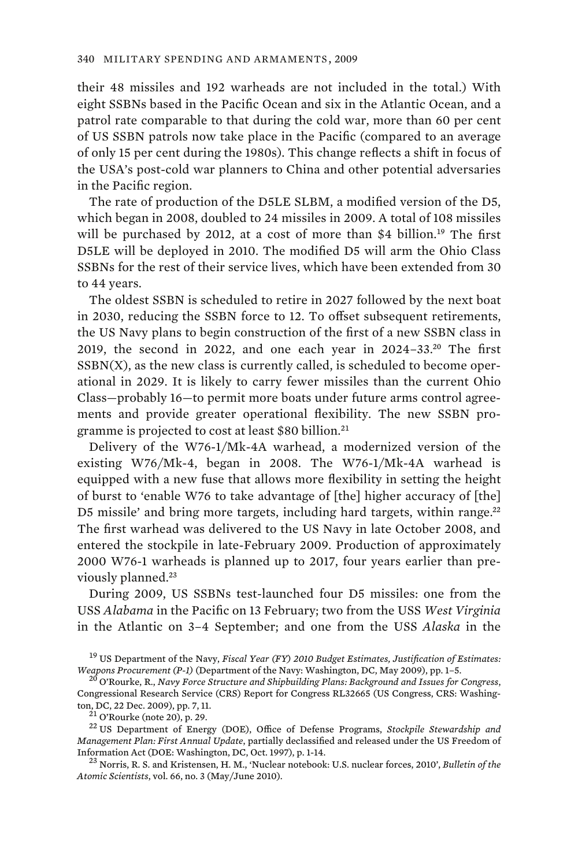their 48 missiles and 192 warheads are not included in the total.) With eight SSBNs based in the Pacific Ocean and six in the Atlantic Ocean, and a patrol rate comparable to that during the cold war, more than 60 per cent of US SSBN patrols now take place in the Pacific (compared to an average of only 15 per cent during the 1980s). This change reflects a shift in focus of the USA's post-cold war planners to China and other potential adversaries in the Pacific region.

The rate of production of the D5LE SLBM, a modified version of the D5, which began in 2008, doubled to 24 missiles in 2009. A total of 108 missiles will be purchased by 2012, at a cost of more than \$4 billion.<sup>19</sup> The first D5LE will be deployed in 2010. The modified D5 will arm the Ohio Class SSBNs for the rest of their service lives, which have been extended from 30 to 44 years.

The oldest SSBN is scheduled to retire in 2027 followed by the next boat in 2030, reducing the SSBN force to 12. To offset subsequent retirements, the US Navy plans to begin construction of the first of a new SSBN class in 2019, the second in 2022, and one each year in  $2024-33$ <sup>20</sup> The first  $SSBN(X)$ , as the new class is currently called, is scheduled to become operational in 2029. It is likely to carry fewer missiles than the current Ohio Class—probably 16—to permit more boats under future arms control agreements and provide greater operational flexibility. The new SSBN programme is projected to cost at least \$80 billion.<sup>21</sup>

Delivery of the W76-1/Mk-4A warhead, a modernized version of the existing W76/Mk-4, began in 2008. The W76-1/Mk-4A warhead is equipped with a new fuse that allows more flexibility in setting the height of burst to 'enable W76 to take advantage of [the] higher accuracy of [the] D5 missile' and bring more targets, including hard targets, within range.<sup>22</sup> The first warhead was delivered to the US Navy in late October 2008, and entered the stockpile in late-February 2009. Production of approximately 2000 W76-1 warheads is planned up to 2017, four years earlier than previously planned.<sup>23</sup>

During 2009, US SSBNs test-launched four D5 missiles: one from the USS *Alabama* in the Pacific on 13 February; two from the USS *West Virginia* in the Atlantic on 3–4 September; and one from the USS *Alaska* in the

<sup>19</sup> US Department of the Navy, *Fiscal Year (FY) 2010 Budget Estimates, Justification of Estimates: Weapons Procurement (P-1)* (Department of the Navy: Washington, DC, May 2009), pp. 1–5.

<sup>20</sup> O'Rourke, R., *Navy Force Structure and Shipbuilding Plans: Background and Issues for Congress*, Congressional Research Service (CRS) Report for Congress RL32665 (US Congress, CRS: Washington, DC, 22 Dec. 2009), pp. 7, 11. 21 O'Rourke (note 20), p. 29. 22 US Department of Energy (DOE), Office of Defense Programs, *Stockpile Stewardship and* 

*Management Plan: First Annual Update*, partially declassified and released under the US Freedom of Information Act (DOE: Washington, DC, Oct. 1997), p. 1-14. 23 Norris, R. S. and Kristensen, H. M., 'Nuclear notebook: U.S. nuclear forces, 2010', *Bulletin of the* 

*Atomic Scientists*, vol. 66, no. 3 (May/June 2010).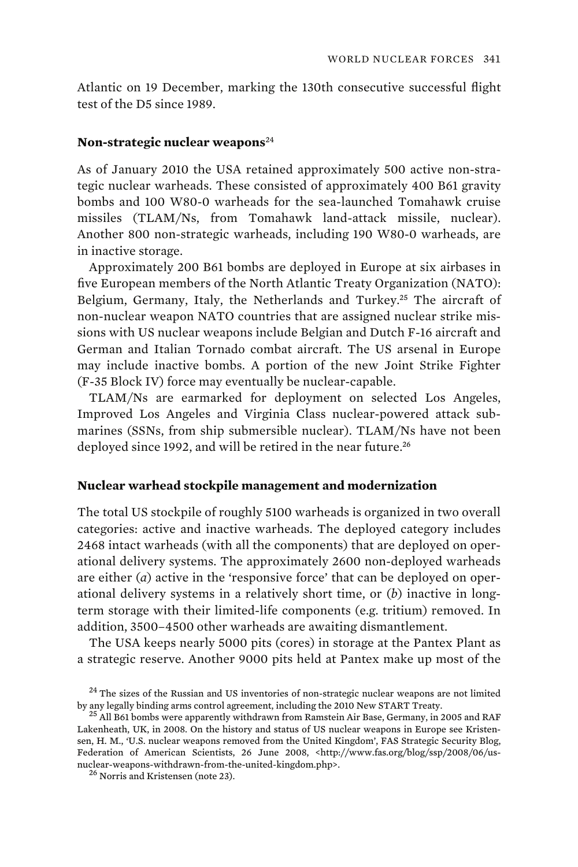Atlantic on 19 December, marking the 130th consecutive successful flight test of the D5 since 1989.

### **Non-strategic nuclear weapons**<sup>24</sup>

As of January 2010 the USA retained approximately 500 active non-strategic nuclear warheads. These consisted of approximately 400 B61 gravity bombs and 100 W80-0 warheads for the sea-launched Tomahawk cruise missiles (TLAM/Ns, from Tomahawk land-attack missile, nuclear). Another 800 non-strategic warheads, including 190 W80-0 warheads, are in inactive storage.

Approximately 200 B61 bombs are deployed in Europe at six airbases in five European members of the North Atlantic Treaty Organization (NATO): Belgium, Germany, Italy, the Netherlands and Turkey.<sup>25</sup> The aircraft of non-nuclear weapon NATO countries that are assigned nuclear strike missions with US nuclear weapons include Belgian and Dutch F-16 aircraft and German and Italian Tornado combat aircraft. The US arsenal in Europe may include inactive bombs. A portion of the new Joint Strike Fighter (F-35 Block IV) force may eventually be nuclear-capable.

TLAM/Ns are earmarked for deployment on selected Los Angeles, Improved Los Angeles and Virginia Class nuclear-powered attack submarines (SSNs, from ship submersible nuclear). TLAM/Ns have not been deployed since 1992, and will be retired in the near future.<sup>26</sup>

### **Nuclear warhead stockpile management and modernization**

The total US stockpile of roughly 5100 warheads is organized in two overall categories: active and inactive warheads. The deployed category includes 2468 intact warheads (with all the components) that are deployed on operational delivery systems. The approximately 2600 non-deployed warheads are either (*a*) active in the 'responsive force' that can be deployed on operational delivery systems in a relatively short time, or (*b*) inactive in longterm storage with their limited-life components (e.g. tritium) removed. In addition, 3500–4500 other warheads are awaiting dismantlement.

The USA keeps nearly 5000 pits (cores) in storage at the Pantex Plant as a strategic reserve. Another 9000 pits held at Pantex make up most of the

 $24$  The sizes of the Russian and US inventories of non-strategic nuclear weapons are not limited by any legally binding arms control agreement, including the 2010 New START Treaty.  $^{25}$  All B61 bombs were apparently withdrawn from Ramstein Air Base, Germany, in 2005 and RAF

Lakenheath, UK, in 2008. On the history and status of US nuclear weapons in Europe see Kristensen, H. M., 'U.S. nuclear weapons removed from the United Kingdom', FAS Strategic Security Blog, Federation of American Scientists, 26 June 2008, <http://www.fas.org/blog/ssp/2008/06/usnuclear-weapons-withdrawn-from-the-united-kingdom.php>.  $^{26}$  Norris and Kristensen (note 23).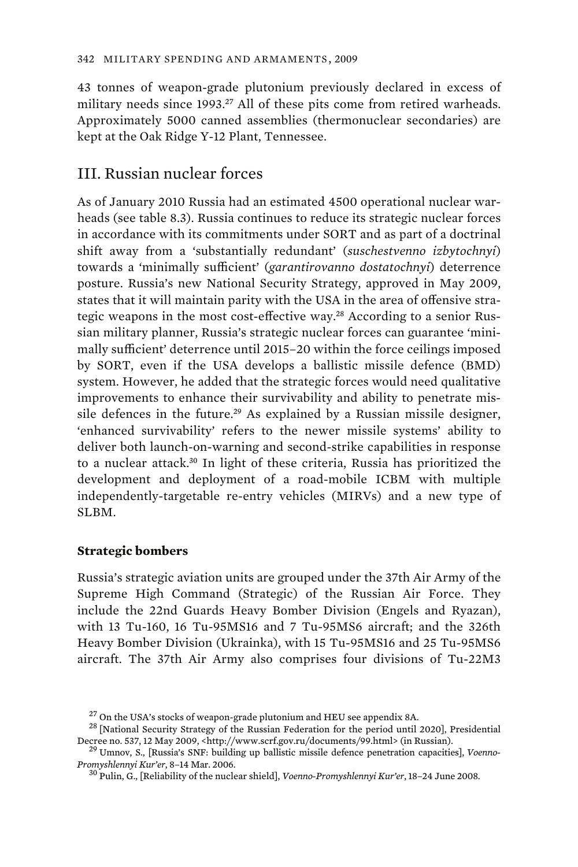43 tonnes of weapon-grade plutonium previously declared in excess of military needs since 1993.<sup>27</sup> All of these pits come from retired warheads. Approximately 5000 canned assemblies (thermonuclear secondaries) are kept at the Oak Ridge Y-12 Plant, Tennessee.

# III. Russian nuclear forces

As of January 2010 Russia had an estimated 4500 operational nuclear warheads (see table 8.3). Russia continues to reduce its strategic nuclear forces in accordance with its commitments under SORT and as part of a doctrinal shift away from a 'substantially redundant' (*suschestvenno izbytochnyi*) towards a 'minimally sufficient' (*garantirovanno dostatochnyi*) deterrence posture. Russia's new National Security Strategy, approved in May 2009, states that it will maintain parity with the USA in the area of offensive strategic weapons in the most cost-effective way.28 According to a senior Russian military planner, Russia's strategic nuclear forces can guarantee 'minimally sufficient' deterrence until 2015–20 within the force ceilings imposed by SORT, even if the USA develops a ballistic missile defence (BMD) system. However, he added that the strategic forces would need qualitative improvements to enhance their survivability and ability to penetrate missile defences in the future.<sup>29</sup> As explained by a Russian missile designer, 'enhanced survivability' refers to the newer missile systems' ability to deliver both launch-on-warning and second-strike capabilities in response to a nuclear attack.<sup>30</sup> In light of these criteria, Russia has prioritized the development and deployment of a road-mobile ICBM with multiple independently-targetable re-entry vehicles (MIRVs) and a new type of SLBM.

### **Strategic bombers**

Russia's strategic aviation units are grouped under the 37th Air Army of the Supreme High Command (Strategic) of the Russian Air Force. They include the 22nd Guards Heavy Bomber Division (Engels and Ryazan), with 13 Tu-160, 16 Tu-95MS16 and 7 Tu-95MS6 aircraft; and the 326th Heavy Bomber Division (Ukrainka), with 15 Tu-95MS16 and 25 Tu-95MS6 aircraft. The 37th Air Army also comprises four divisions of Tu-22M3

<sup>&</sup>lt;sup>27</sup> On the USA's stocks of weapon-grade plutonium and HEU see appendix 8A.<br><sup>28</sup> [National Security Strategy of the Russian Federation for the period until 2020], Presidential<br>Decree no. 537, 12 May 2009, <http://www.scrf

<sup>&</sup>lt;sup>29</sup> Umnov, S., [Russia's SNF: building up ballistic missile defence penetration capacities], *Voenno-Promyshlennyi Kur'er*, 8-14 Mar. 2006.

*Promyshlennyi Kur'er*, 8–14 Mar. 2006. 30 Pulin, G., [Reliability of the nuclear shield], *Voenno-Promyshlennyi Kur'er*, 18–24 June 2008.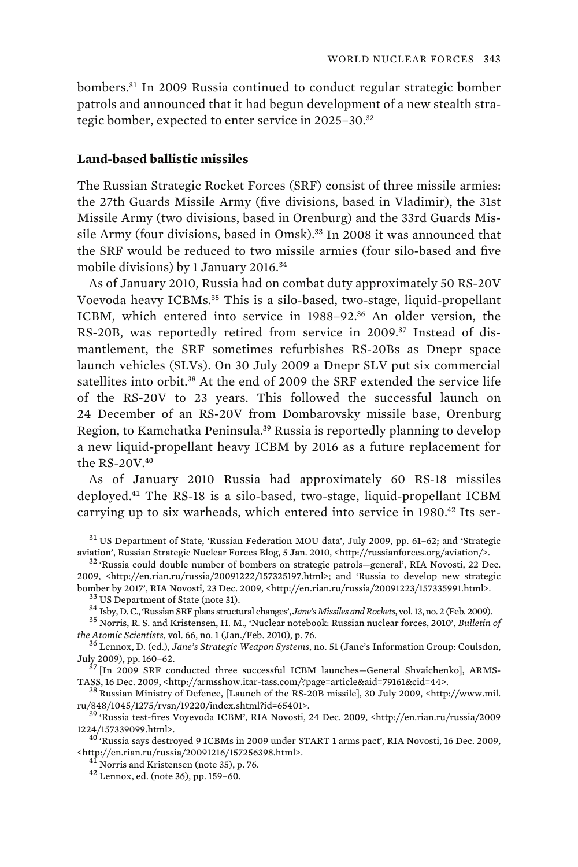bombers.<sup>31</sup> In 2009 Russia continued to conduct regular strategic bomber patrols and announced that it had begun development of a new stealth strategic bomber, expected to enter service in 2025–30.<sup>32</sup>

### **Land-based ballistic missiles**

The Russian Strategic Rocket Forces (SRF) consist of three missile armies: the 27th Guards Missile Army (five divisions, based in Vladimir), the 31st Missile Army (two divisions, based in Orenburg) and the 33rd Guards Missile Army (four divisions, based in Omsk).<sup>33</sup> In 2008 it was announced that the SRF would be reduced to two missile armies (four silo-based and five mobile divisions) by 1 January 2016.<sup>34</sup>

As of January 2010, Russia had on combat duty approximately 50 RS-20V Voevoda heavy ICBMs.<sup>35</sup> This is a silo-based, two-stage, liquid-propellant ICBM, which entered into service in 1988–92.<sup>36</sup> An older version, the RS-20B, was reportedly retired from service in 2009.37 Instead of dismantlement, the SRF sometimes refurbishes RS-20Bs as Dnepr space launch vehicles (SLVs). On 30 July 2009 a Dnepr SLV put six commercial satellites into orbit.<sup>38</sup> At the end of 2009 the SRF extended the service life of the RS-20V to 23 years. This followed the successful launch on 24 December of an RS-20V from Dombarovsky missile base, Orenburg Region, to Kamchatka Peninsula.<sup>39</sup> Russia is reportedly planning to develop a new liquid-propellant heavy ICBM by 2016 as a future replacement for the  $RS-20V<sub>.40</sub>$ 

As of January 2010 Russia had approximately 60 RS-18 missiles deployed.<sup>41</sup> The RS-18 is a silo-based, two-stage, liquid-propellant ICBM carrying up to six warheads, which entered into service in 1980.<sup>42</sup> Its ser-

<sup>31</sup> US Department of State, 'Russian Federation MOU data', July 2009, pp. 61–62; and 'Strategic<br>aviation', Russian Strategic Nuclear Forces Blog, 5 Jan. 2010, <http://russianforces.org/aviation/>.

<sup>32</sup> 'Russia could double number of bombers on strategic patrols-general', RIA Novosti, 22 Dec. 2009, <http://en.rian.ru/russia/20091222/157325197.html>; and 'Russia to develop new strategic

*the Atomic Scientists*, vol. 66, no. 1 (Jan./Feb. 2010), p. 76. 36 Lennox, D. (ed.), *Jane's Strategic Weapon Systems*, no. 51 (Jane's Information Group: Coulsdon,

July 2009), pp. 160–62.<br><sup>37</sup> [In 2009 SRF conducted three successful ICBM launches—General Shvaichenko], ARMS-<br>TASS, 16 Dec. 2009, <http://armsshow.itar-tass.com/?page=article&aid=79161&cid=44>.

 $^{38}$  Russian Ministry of Defence, [Launch of the RS-20B missile], 30 July 2009, <http://www.mil.

ru/848/1045/1275/rvsn/19220/index.shtml?id=65401>.<br><sup>39</sup> 'Russia test-fires Voyevoda ICBM', RIA Novosti, 24 Dec. 2009, <http://en.rian.ru/russia/2009<br>1224/157339099.html>.

 $^{40^{\prime}}$ Russia says destroyed 9 ICBMs in 2009 under START 1 arms pact', RIA Novosti, 16 Dec. 2009, % $\cdot$ http://en.rian.ru/russia/20091216/157256398.html - 41 Norris and Kristensen (note 35), p. 76. 42 Lennox, ed. (note 36), pp. 159–60.

<sup>&</sup>lt;sup>33</sup> US Department of State (note 31).<br><sup>34</sup> Isby, D. C., 'Russian SRF plans structural changes', *Jane's Missiles and Rockets*, vol. 13, no. 2 (Feb. 2009).<br><sup>35</sup> Norris, R. S. and Kristensen, H. M., 'Nuclear notebook: Russ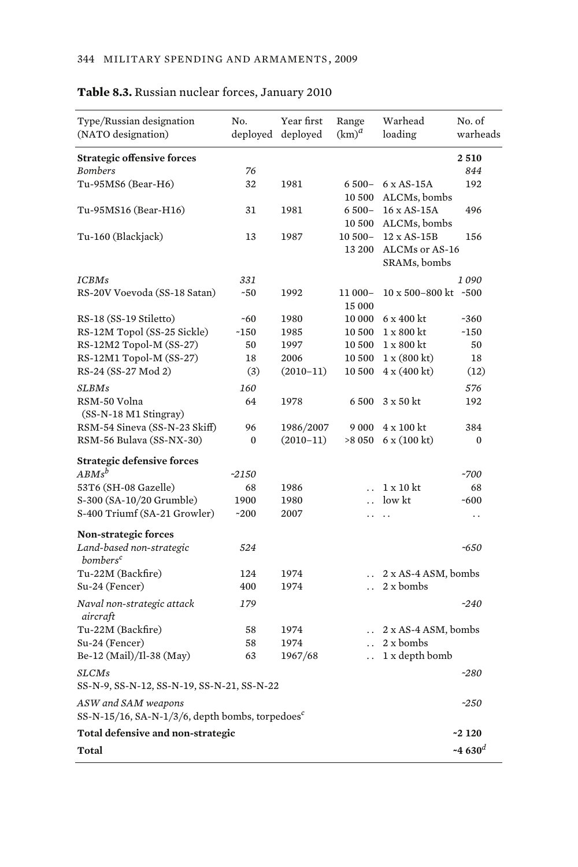| Type/Russian designation                                    | No.          | Year first  | Range                | Warhead                     | No. of               |
|-------------------------------------------------------------|--------------|-------------|----------------------|-----------------------------|----------------------|
| (NATO designation)                                          | deployed     | deploved    | $(km)^d$             | loading                     | warheads             |
| <b>Strategic offensive forces</b>                           |              |             |                      |                             | 2510                 |
| <b>Bombers</b>                                              | 76           |             |                      |                             | 844                  |
| Tu-95MS6 (Bear-H6)                                          | 32           | 1981        | 6 500-               | $6 \times AS-15A$           | 192                  |
|                                                             |              |             | 10 500               | ALCMs, bombs                |                      |
| Tu-95MS16 (Bear-H16)                                        | 31           | 1981        | 6 500-               | 16 x AS-15A                 | 496                  |
|                                                             |              |             | 10 500               | ALCMs, bombs                |                      |
| Tu-160 (Blackjack)                                          | 13           | 1987        | $10500 -$            | 12 x AS-15B                 | 156                  |
|                                                             |              |             | 13 200               | ALCMs or AS-16              |                      |
|                                                             |              |             |                      | SRAMs, bombs                |                      |
| ICBMs                                                       | 331          |             |                      |                             | 1090                 |
| RS-20V Voevoda (SS-18 Satan)                                | $-50$        | 1992        | 11 000-              | 10 x 500-800 kt ~500        |                      |
|                                                             |              |             | 15 000               |                             |                      |
| RS-18 (SS-19 Stiletto)                                      | $-60$        | 1980        | 10 000               | $6 \times 400$ kt           | $-360$               |
| RS-12M Topol (SS-25 Sickle)                                 | $-150$       | 1985        | 10 500               | $1 \times 800$ kt           | $-150$               |
| RS-12M2 Topol-M (SS-27)                                     | 50           | 1997        | 10 500               | $1 \times 800$ kt           | 50                   |
| RS-12M1 Topol-M (SS-27)                                     | 18           | 2006        | 10 500               | 1 x (800 kt)                | 18                   |
| RS-24 (SS-27 Mod 2)                                         | (3)          | $(2010-11)$ | 10 500               | $4 \times (400 \text{ kt})$ | (12)                 |
| <b>SLBMs</b>                                                | 160          |             |                      |                             | 576                  |
| RSM-50 Volna                                                | 64           | 1978        | 6500                 | $3 \times 50$ kt            | 192                  |
| (SS-N-18 M1 Stingray)                                       |              |             |                      |                             |                      |
| RSM-54 Sineva (SS-N-23 Skiff)                               | 96           | 1986/2007   | 9 0 0 0              | 4 x 100 kt                  | 384                  |
| RSM-56 Bulava (SS-NX-30)                                    | $\mathbf{0}$ | $(2010-11)$ | >8 0 5 0             | 6 x (100 kt)                | 0                    |
| <b>Strategic defensive forces</b>                           |              |             |                      |                             |                      |
| $ABMs^b$                                                    | $-2150$      |             |                      |                             | ~1700                |
| 53T6 (SH-08 Gazelle)                                        | 68           | 1986        | $\ddot{\phantom{a}}$ | $1 \times 10$ kt            | 68                   |
| S-300 (SA-10/20 Grumble)                                    | 1900         | 1980        | $\ddot{\phantom{0}}$ | low kt                      | $-600$               |
| S-400 Triumf (SA-21 Growler)                                | $-200$       | 2007        |                      | $\ddot{\phantom{0}}$        | $\ddot{\phantom{0}}$ |
|                                                             |              |             |                      |                             |                      |
| <b>Non-strategic forces</b><br>Land-based non-strategic     | 524          |             |                      |                             | $-650$               |
| bombers <sup>c</sup>                                        |              |             |                      |                             |                      |
| Tu-22M (Backfire)                                           | 124          | 1974        | $\ddotsc$            | 2 x AS-4 ASM, bombs         |                      |
| Su-24 (Fencer)                                              | 400          | 1974        | $\ddot{\phantom{a}}$ | 2 x bombs                   |                      |
|                                                             |              |             |                      |                             |                      |
| Naval non-strategic attack<br>aircraft                      | 179          |             |                      |                             | $-240$               |
| Tu-22M (Backfire)                                           | 58           | 1974        | $\ddotsc$            | 2 x AS-4 ASM, bombs         |                      |
| Su-24 (Fencer)                                              | 58           | 1974        | $\ddotsc$            | 2 x bombs                   |                      |
| Be-12 (Mail)/Il-38 (May)                                    | 63           | 1967/68     | $\ddot{\phantom{a}}$ | 1 x depth bomb              |                      |
|                                                             |              |             |                      |                             |                      |
| <b>SLCMs</b><br>SS-N-9, SS-N-12, SS-N-19, SS-N-21, SS-N-22  |              |             |                      |                             | $-280$               |
| ASW and SAM weapons                                         |              |             |                      |                             | $-250$               |
| SS-N-15/16, SA-N-1/3/6, depth bombs, torpedoes <sup>c</sup> |              |             |                      |                             |                      |
| Total defensive and non-strategic                           |              |             |                      |                             | $-2120$              |
| Total                                                       |              |             |                      |                             | ~4 630 <sup>d</sup>  |
|                                                             |              |             |                      |                             |                      |

# **Table 8.3.** Russian nuclear forces, January 2010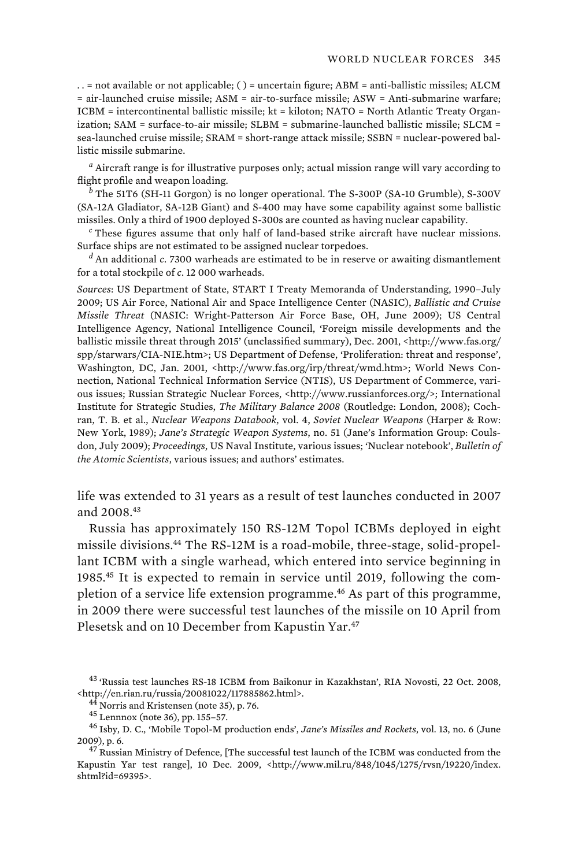. . = not available or not applicable; ( ) = uncertain figure; ABM = anti-ballistic missiles; ALCM = air-launched cruise missile; ASM = air-to-surface missile; ASW = Anti-submarine warfare; ICBM = intercontinental ballistic missile; kt = kiloton; NATO = North Atlantic Treaty Organization; SAM = surface-to-air missile; SLBM = submarine-launched ballistic missile; SLCM = sea-launched cruise missile; SRAM = short-range attack missile; SSBN = nuclear-powered ballistic missile submarine.

*a* Aircraft range is for illustrative purposes only; actual mission range will vary according to flight profile and weapon loading.

*b* The 51T6 (SH-11 Gorgon) is no longer operational. The S-300P (SA-10 Grumble), S-300V (SA-12A Gladiator, SA-12B Giant) and S-400 may have some capability against some ballistic missiles. Only a third of 1900 deployed S-300s are counted as having nuclear capability.

*c* These figures assume that only half of land-based strike aircraft have nuclear missions. Surface ships are not estimated to be assigned nuclear torpedoes.

 An additional *c*. 7300 warheads are estimated to be in reserve or awaiting dismantlement for a total stockpile of *c*. 12 000 warheads.

*Sources*: US Department of State, START I Treaty Memoranda of Understanding, 1990–July 2009; US Air Force, National Air and Space Intelligence Center (NASIC), *Ballistic and Cruise Missile Threat* (NASIC: Wright-Patterson Air Force Base, OH, June 2009); US Central Intelligence Agency, National Intelligence Council, 'Foreign missile developments and the ballistic missile threat through 2015' (unclassified summary), Dec. 2001, <http://www.fas.org/ spp/starwars/CIA-NIE.htm>; US Department of Defense, 'Proliferation: threat and response', Washington, DC, Jan. 2001, <http://www.fas.org/irp/threat/wmd.htm>; World News Connection, National Technical Information Service (NTIS), US Department of Commerce, various issues; Russian Strategic Nuclear Forces, <http://www.russianforces.org/>; International Institute for Strategic Studies, *The Military Balance 2008* (Routledge: London, 2008); Cochran, T. B. et al., *Nuclear Weapons Databook*, vol. 4, *Soviet Nuclear Weapons* (Harper & Row: New York, 1989); *Jane's Strategic Weapon Systems*, no. 51 (Jane's Information Group: Coulsdon, July 2009); *Proceedings*, US Naval Institute, various issues; 'Nuclear notebook', *Bulletin of the Atomic Scientists*, various issues; and authors' estimates.

life was extended to 31 years as a result of test launches conducted in 2007 and 2008.<sup>43</sup>

Russia has approximately 150 RS-12M Topol ICBMs deployed in eight missile divisions.<sup>44</sup> The RS-12M is a road-mobile, three-stage, solid-propellant ICBM with a single warhead, which entered into service beginning in 1985.45 It is expected to remain in service until 2019, following the completion of a service life extension programme.<sup>46</sup> As part of this programme, in 2009 there were successful test launches of the missile on 10 April from Plesetsk and on 10 December from Kapustin Yar.<sup>47</sup>

<sup>&</sup>lt;sup>43</sup> 'Russia test launches RS-18 ICBM from Baikonur in Kazakhstan', RIA Novosti, 22 Oct. 2008, <http://en.rian.ru/russia/20081022/117885862.html>.

<sup>&</sup>lt;sup>44</sup> Norris and Kristensen (note 35), p. 76.<br><sup>45</sup> Lennnox (note 36), pp. 155–57.<br><sup>46</sup> Isby, D. C., 'Mobile Topol-M production ends', *Jane's Missiles and Rockets*, vol. 13, no. 6 (June 2009), p. 6.  $^{47}$  Russian Ministry of Defence, [The successful test launch of the ICBM was conducted from the

Kapustin Yar test range], 10 Dec. 2009, <http://www.mil.ru/848/1045/1275/rvsn/19220/index. shtml?id=69395>.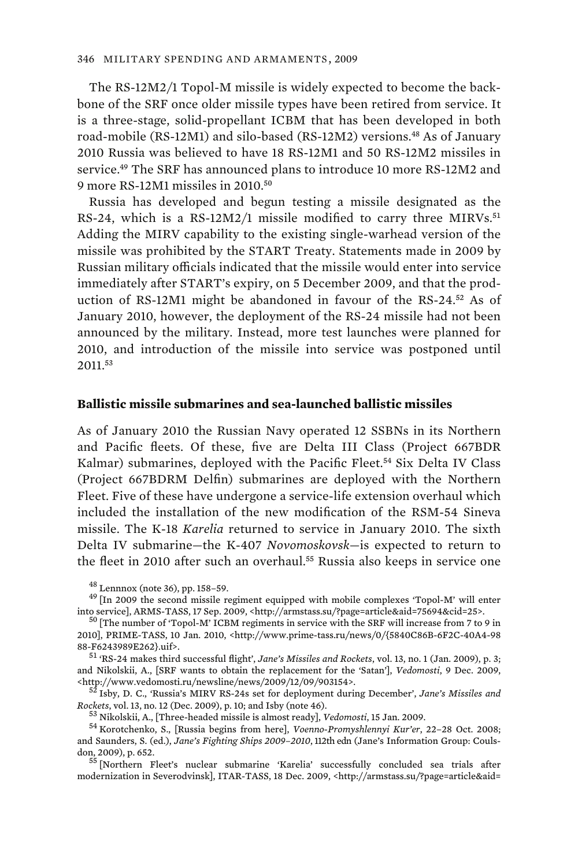The RS-12M2/1 Topol-M missile is widely expected to become the backbone of the SRF once older missile types have been retired from service. It is a three-stage, solid-propellant ICBM that has been developed in both road-mobile (RS-12M1) and silo-based (RS-12M2) versions.<sup>48</sup> As of January 2010 Russia was believed to have 18 RS-12M1 and 50 RS-12M2 missiles in service.<sup>49</sup> The SRF has announced plans to introduce 10 more RS-12M2 and 9 more RS-12M1 missiles in 2010.<sup>50</sup>

Russia has developed and begun testing a missile designated as the RS-24, which is a RS-12M2/1 missile modified to carry three  $MIRVs<sup>51</sup>$ Adding the MIRV capability to the existing single-warhead version of the missile was prohibited by the START Treaty. Statements made in 2009 by Russian military officials indicated that the missile would enter into service immediately after START's expiry, on 5 December 2009, and that the production of RS-12M1 might be abandoned in favour of the RS-24.<sup>52</sup> As of January 2010, however, the deployment of the RS-24 missile had not been announced by the military. Instead, more test launches were planned for 2010, and introduction of the missile into service was postponed until 2011.<sup>53</sup>

### **Ballistic missile submarines and sea-launched ballistic missiles**

As of January 2010 the Russian Navy operated 12 SSBNs in its Northern and Pacific fleets. Of these, five are Delta III Class (Project 667BDR Kalmar) submarines, deployed with the Pacific Fleet.<sup>54</sup> Six Delta IV Class (Project 667BDRM Delfin) submarines are deployed with the Northern Fleet. Five of these have undergone a service-life extension overhaul which included the installation of the new modification of the RSM-54 Sineva missile. The K-18 *Karelia* returned to service in January 2010. The sixth Delta IV submarine—the K-407 *Novomoskovsk*—is expected to return to the fleet in 2010 after such an overhaul.<sup>55</sup> Russia also keeps in service one

 $^{51}$  'RS-24 makes third successful flight', *Jane's Missiles and Rockets*, vol. 13, no. 1 (Jan. 2009), p. 3; and Nikolskii, A., [SRF wants to obtain the replacement for the 'Satan'], *Vedomosti*, 9 Dec. 2009,

Isby, D. C., 'Russia's MIRV RS-24s set for deployment during December', *Jane's Missiles and*  $Rockets$ , vol. 13, no. 12 (Dec. 2009), p. 10; and Isby (note 46).<br> $$^{53}$  Nikolskii, A., [Three-headed missile is almost ready], *Vedomosti*, 15 Jan. 2009.<br> $$^{54}$  Korotchenko, S., [Russia begins from here], *Voenno-Promyshl* 

and Saunders, S. (ed.), *Jane's Fighting Ships 2009–2010*, 112th edn (Jane's Information Group: Coulsdon, 2009), p. 652.<br> $\,$   $^{55}$  [Northern Fleet's nuclear submarine 'Karelia' successfully concluded sea trials after

modernization in Severodvinsk], ITAR-TASS, 18 Dec. 2009, <http://armstass.su/?page=article&aid=

<sup>&</sup>lt;sup>48</sup> Lennnox (note 36), pp. 158–59.<br><sup>49</sup> [In 2009 the second missile regiment equipped with mobile complexes 'Topol-M' will enter<br>into service], ARMS-TASS, 17 Sep. 2009, <http://armstass.su/?page=article&aid=75694&cid=25>

 $50$  [The number of 'Topol-M' ICBM regiments in service with the SRF will increase from 7 to 9 in 2010], PRIME-TASS, 10 Jan. 2010, <http://www.prime-tass.ru/news/0/{5840C86B-6F2C-40A4-98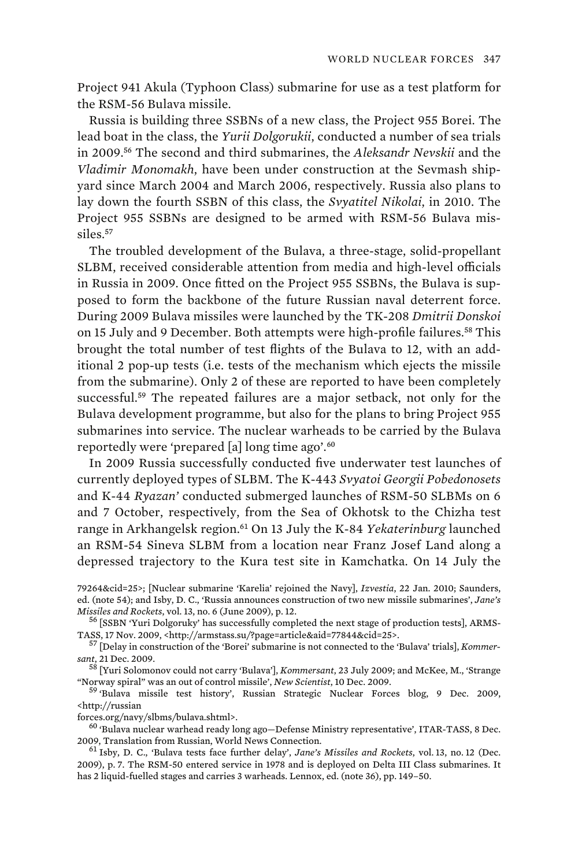Project 941 Akula (Typhoon Class) submarine for use as a test platform for the RSM-56 Bulava missile.

Russia is building three SSBNs of a new class, the Project 955 Borei. The lead boat in the class, the *Yurii Dolgorukii*, conducted a number of sea trials in 2009.<sup>56</sup> The second and third submarines, the *Aleksandr Nevskii* and the *Vladimir Monomakh*, have been under construction at the Sevmash shipyard since March 2004 and March 2006, respectively. Russia also plans to lay down the fourth SSBN of this class, the *Svyatitel Nikolai*, in 2010. The Project 955 SSBNs are designed to be armed with RSM-56 Bulava missiles.<sup>57</sup>

The troubled development of the Bulava, a three-stage, solid-propellant SLBM, received considerable attention from media and high-level officials in Russia in 2009. Once fitted on the Project 955 SSBNs, the Bulava is supposed to form the backbone of the future Russian naval deterrent force. During 2009 Bulava missiles were launched by the TK-208 *Dmitrii Donskoi*  on 15 July and 9 December. Both attempts were high-profile failures.<sup>58</sup> This brought the total number of test flights of the Bulava to 12, with an additional 2 pop-up tests (i.e. tests of the mechanism which ejects the missile from the submarine). Only 2 of these are reported to have been completely successful.<sup>59</sup> The repeated failures are a major setback, not only for the Bulava development programme, but also for the plans to bring Project 955 submarines into service. The nuclear warheads to be carried by the Bulava reportedly were 'prepared [a] long time ago'.<sup>60</sup>

In 2009 Russia successfully conducted five underwater test launches of currently deployed types of SLBM. The K-443 *Svyatoi Georgii Pobedonosets* and K-44 *Ryazan'* conducted submerged launches of RSM-50 SLBMs on 6 and 7 October, respectively, from the Sea of Okhotsk to the Chizha test range in Arkhangelsk region.<sup>61</sup> On 13 July the K-84 *Yekaterinburg* launched an RSM-54 Sineva SLBM from a location near Franz Josef Land along a depressed trajectory to the Kura test site in Kamchatka. On 14 July the

*sant*, 21 Dec. 2009.

<sup>58</sup> [Yuri Solomonov could not carry 'Bulava'], *Kommersant*, 23 July 2009; and McKee, M., 'Strange

<sup>59</sup> 'Bulava missile test history', Russian Strategic Nuclear Forces blog, 9 Dec. 2009, <http://russian

 $^{60}$  'Bulava nuclear warhead ready long ago-Defense Ministry representative', ITAR-TASS, 8 Dec. 2009, Translation from Russian, World News Connection. 61 Isby, D. C., 'Bulava tests face further delay', *Jane's Missiles and Rockets*, vol. 13, no. 12 (Dec.

2009), p. 7. The RSM-50 entered service in 1978 and is deployed on Delta III Class submarines. It has 2 liquid-fuelled stages and carries 3 warheads. Lennox, ed. (note 36), pp. 149–50.

<sup>79264&</sup>amp;cid=25>; [Nuclear submarine 'Karelia' rejoined the Navy], *Izvestia*, 22 Jan. 2010; Saunders, ed. (note 54); and Isby, D. C., 'Russia announces construction of two new missile submarines', *Jane's Missiles and Rockets*, vol. 13, no. 6 (June 2009), p. 12.<br><sup>56</sup> [SSBN 'Yuri Dolgoruky' has successfully completed the next stage of production tests], ARMS-

TASS, 17 Nov. 2009, <http://armstass.su/?page=article&aid=77844&cid=25>. 57 [Delay in construction of the 'Borei' submarine is not connected to the 'Bulava' trials], *Kommer-*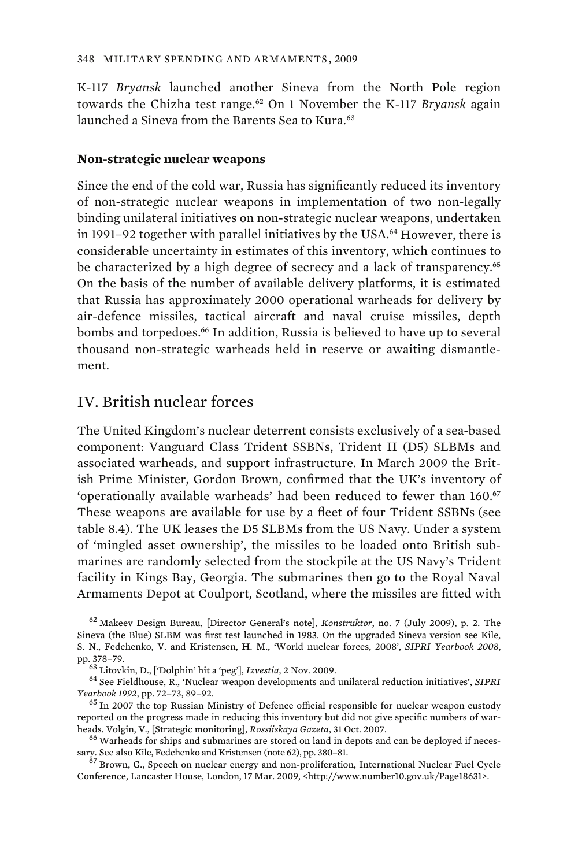K-117 *Bryansk* launched another Sineva from the North Pole region towards the Chizha test range.<sup>62</sup> On 1 November the K-117 *Bryansk* again launched a Sineva from the Barents Sea to Kura.<sup>63</sup>

### **Non-strategic nuclear weapons**

Since the end of the cold war, Russia has significantly reduced its inventory of non-strategic nuclear weapons in implementation of two non-legally binding unilateral initiatives on non-strategic nuclear weapons, undertaken in 1991–92 together with parallel initiatives by the USA.<sup>64</sup> However, there is considerable uncertainty in estimates of this inventory, which continues to be characterized by a high degree of secrecy and a lack of transparency.<sup>65</sup> On the basis of the number of available delivery platforms, it is estimated that Russia has approximately 2000 operational warheads for delivery by air-defence missiles, tactical aircraft and naval cruise missiles, depth bombs and torpedoes.<sup>66</sup> In addition, Russia is believed to have up to several thousand non-strategic warheads held in reserve or awaiting dismantlement.

# IV. British nuclear forces

The United Kingdom's nuclear deterrent consists exclusively of a sea-based component: Vanguard Class Trident SSBNs, Trident II (D5) SLBMs and associated warheads, and support infrastructure. In March 2009 the British Prime Minister, Gordon Brown, confirmed that the UK's inventory of 'operationally available warheads' had been reduced to fewer than 160.<sup>67</sup> These weapons are available for use by a fleet of four Trident SSBNs (see table 8.4). The UK leases the D5 SLBMs from the US Navy. Under a system of 'mingled asset ownership', the missiles to be loaded onto British submarines are randomly selected from the stockpile at the US Navy's Trident facility in Kings Bay, Georgia. The submarines then go to the Royal Naval Armaments Depot at Coulport, Scotland, where the missiles are fitted with

Conference, Lancaster House, London, 17 Mar. 2009, <http://www.number10.gov.uk/Page18631>.

<sup>62</sup> Makeev Design Bureau, [Director General's note], *Konstruktor*, no. 7 (July 2009), p. 2. The Sineva (the Blue) SLBM was first test launched in 1983. On the upgraded Sineva version see Kile, S. N., Fedchenko, V. and Kristensen, H. M., 'World nuclear forces, 2008', *SIPRI Yearbook 2008*,

pp. 378–79. 63 Litovkin, D., ['Dolphin' hit a 'peg'], *Izvestia*, 2 Nov. 2009.<br><sup>64</sup> See Fieldhouse, R., 'Nuclear weapon developments and unilateral reduction initiatives', *SIPRI*<br>*Yearbook 1992*, pp. 72–73, 89–92.

<sup>&</sup>lt;sup>65</sup> In 2007 the top Russian Ministry of Defence official responsible for nuclear weapon custody reported on the progress made in reducing this inventory but did not give specific numbers of warheads. Volgin, V., [Strategic monitoring], *Rossiiskaya Gazeta*, 31 Oct. 2007. 66 Warheads for ships and submarines are stored on land in depots and can be deployed if neces-

sary. See also Kile, Fedchenko and Kristensen (note 62), pp. 380–81.  $^{67}$  Brown, G., Speech on nuclear energy and non-proliferation, International Nuclear Fuel Cycle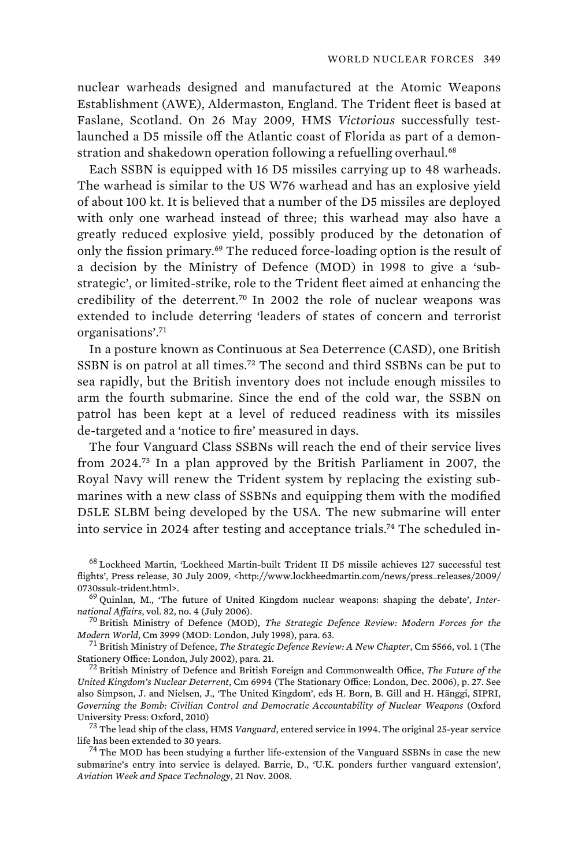nuclear warheads designed and manufactured at the Atomic Weapons Establishment (AWE), Aldermaston, England. The Trident fleet is based at Faslane, Scotland. On 26 May 2009, HMS *Victorious* successfully testlaunched a D5 missile off the Atlantic coast of Florida as part of a demonstration and shakedown operation following a refuelling overhaul.<sup>68</sup>

Each SSBN is equipped with 16 D5 missiles carrying up to 48 warheads. The warhead is similar to the US W76 warhead and has an explosive yield of about 100 kt. It is believed that a number of the D5 missiles are deployed with only one warhead instead of three; this warhead may also have a greatly reduced explosive yield, possibly produced by the detonation of only the fission primary.<sup>69</sup> The reduced force-loading option is the result of a decision by the Ministry of Defence (MOD) in 1998 to give a 'substrategic', or limited-strike, role to the Trident fleet aimed at enhancing the credibility of the deterrent.<sup>70</sup> In 2002 the role of nuclear weapons was extended to include deterring 'leaders of states of concern and terrorist organisations'.<sup>71</sup>

In a posture known as Continuous at Sea Deterrence (CASD), one British SSBN is on patrol at all times.<sup>72</sup> The second and third SSBNs can be put to sea rapidly, but the British inventory does not include enough missiles to arm the fourth submarine. Since the end of the cold war, the SSBN on patrol has been kept at a level of reduced readiness with its missiles de-targeted and a 'notice to fire' measured in days.

The four Vanguard Class SSBNs will reach the end of their service lives from 2024.<sup>73</sup> In a plan approved by the British Parliament in 2007, the Royal Navy will renew the Trident system by replacing the existing submarines with a new class of SSBNs and equipping them with the modified D5LE SLBM being developed by the USA. The new submarine will enter into service in 2024 after testing and acceptance trials.74 The scheduled in-

<sup>68</sup> Lockheed Martin, 'Lockheed Martin-built Trident II D5 missile achieves 127 successful test flights', Press release, 30 July 2009, <http://www.lockheedmartin.com/news/press\_releases/2009/

<sup>&</sup>lt;sup>69</sup> Quinlan, M., 'The future of United Kingdom nuclear weapons: shaping the debate', *Inter-*

*national Affairs*, vol. 82, no. 4 (July 2006). 70 British Ministry of Defence (MOD), *The Strategic Defence Review: Modern Forces for the* 

<sup>&</sup>lt;sup>71</sup> British Ministry of Defence, *The Strategic Defence Review: A New Chapter*, Cm 5566, vol. 1 (The Stationery Office: London, July 2002), para. 21. 72 British Ministry of Defence and British Foreign and Commonwealth Office, *The Future of the* 

*United Kingdom's Nuclear Deterrent*, Cm 6994 (The Stationary Office: London, Dec. 2006), p. 27. See also Simpson, J. and Nielsen, J., 'The United Kingdom', eds H. Born, B. Gill and H. Hänggi, SIPRI, *Governing the Bomb: Civilian Control and Democratic Accountability of Nuclear Weapons* (Oxford

<sup>&</sup>lt;sup>73</sup> The lead ship of the class, HMS *Vanguard*, entered service in 1994. The original 25-year service life has been extended to 30 years.<br><sup>74</sup> The MOD has been studying a further life-extension of the Vanguard SSBNs in case the new

submarine's entry into service is delayed. Barrie, D., 'U.K. ponders further vanguard extension', *Aviation Week and Space Technology*, 21 Nov. 2008.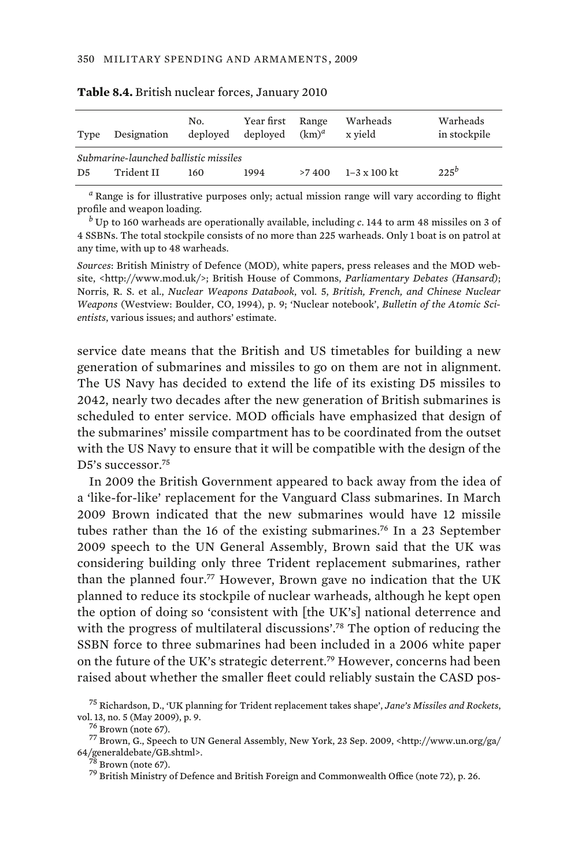| Type           | Designation                                         | No.<br>deploved | Year first Range<br>deploved | $(km)^d$ | Warheads<br>x vield | Warheads<br>in stockpile |
|----------------|-----------------------------------------------------|-----------------|------------------------------|----------|---------------------|--------------------------|
| D <sub>5</sub> | Submarine-launched ballistic missiles<br>Trident II | 160             | 1994                         | >7400    | 1–3 x 100 kt        | $225^b$                  |

**Table 8.4.** British nuclear forces, January 2010

*a* Range is for illustrative purposes only; actual mission range will vary according to flight profile and weapon loading.

*b* Up to 160 warheads are operationally available, including *c*. 144 to arm 48 missiles on 3 of 4 SSBNs. The total stockpile consists of no more than 225 warheads. Only 1 boat is on patrol at any time, with up to 48 warheads.

*Sources*: British Ministry of Defence (MOD), white papers, press releases and the MOD website, <http://www.mod.uk/>; British House of Commons, *Parliamentary Debates (Hansard)*; Norris, R. S. et al., *Nuclear Weapons Databook*, vol. 5, *British, French, and Chinese Nuclear Weapons* (Westview: Boulder, CO, 1994), p. 9; 'Nuclear notebook', *Bulletin of the Atomic Scientists*, various issues; and authors' estimate.

service date means that the British and US timetables for building a new generation of submarines and missiles to go on them are not in alignment. The US Navy has decided to extend the life of its existing D5 missiles to 2042, nearly two decades after the new generation of British submarines is scheduled to enter service. MOD officials have emphasized that design of the submarines' missile compartment has to be coordinated from the outset with the US Navy to ensure that it will be compatible with the design of the D5's successor.<sup>75</sup>

In 2009 the British Government appeared to back away from the idea of a 'like-for-like' replacement for the Vanguard Class submarines. In March 2009 Brown indicated that the new submarines would have 12 missile tubes rather than the 16 of the existing submarines.<sup>76</sup> In a 23 September 2009 speech to the UN General Assembly, Brown said that the UK was considering building only three Trident replacement submarines, rather than the planned four.<sup>77</sup> However, Brown gave no indication that the UK planned to reduce its stockpile of nuclear warheads, although he kept open the option of doing so 'consistent with [the UK's] national deterrence and with the progress of multilateral discussions'.<sup>78</sup> The option of reducing the SSBN force to three submarines had been included in a 2006 white paper on the future of the UK's strategic deterrent.<sup>79</sup> However, concerns had been raised about whether the smaller fleet could reliably sustain the CASD pos-

<sup>75</sup> Richardson, D., 'UK planning for Trident replacement takes shape', *Jane's Missiles and Rockets*,

 $^{76}$  Brown (note 67).  $^{77}$  Brown, G., Speech to UN General Assembly, New York, 23 Sep. 2009, <http://www.un.org/ga/ 64/generaldebate/GB.shtml>.

 $^{78}$  Brown (note 67).<br> $^{79}$  British Ministry of Defence and British Foreign and Commonwealth Office (note 72), p. 26.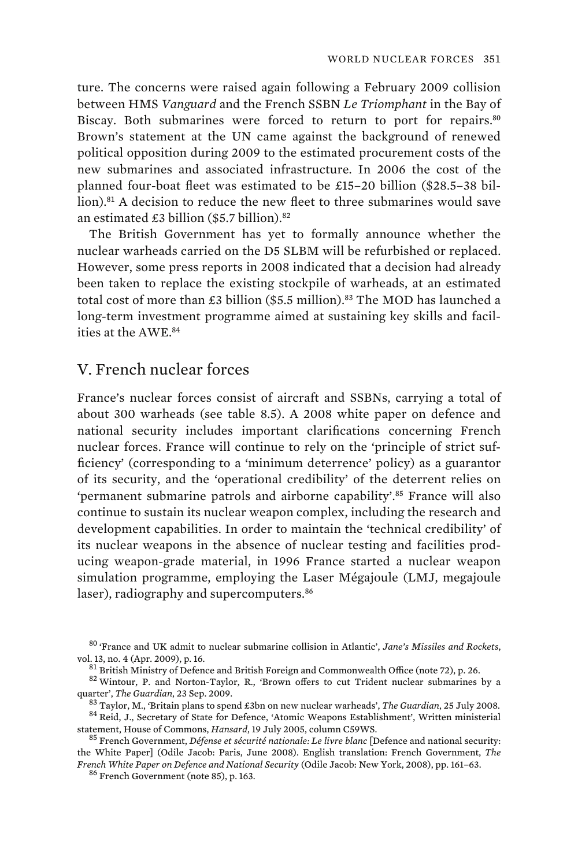ture. The concerns were raised again following a February 2009 collision between HMS *Vanguard* and the French SSBN *Le Triomphant* in the Bay of Biscay. Both submarines were forced to return to port for repairs.<sup>80</sup> Brown's statement at the UN came against the background of renewed political opposition during 2009 to the estimated procurement costs of the new submarines and associated infrastructure. In 2006 the cost of the planned four-boat fleet was estimated to be £15–20 billion (\$28.5–38 billion).<sup>81</sup> A decision to reduce the new fleet to three submarines would save an estimated  $£3$  billion (\$5.7 billion).<sup>82</sup>

The British Government has yet to formally announce whether the nuclear warheads carried on the D5 SLBM will be refurbished or replaced. However, some press reports in 2008 indicated that a decision had already been taken to replace the existing stockpile of warheads, at an estimated total cost of more than £3 billion (\$5.5 million).<sup>83</sup> The MOD has launched a long-term investment programme aimed at sustaining key skills and facilities at the AWE.<sup>84</sup>

# V. French nuclear forces

France's nuclear forces consist of aircraft and SSBNs, carrying a total of about 300 warheads (see table 8.5). A 2008 white paper on defence and national security includes important clarifications concerning French nuclear forces. France will continue to rely on the 'principle of strict sufficiency' (corresponding to a 'minimum deterrence' policy) as a guarantor of its security, and the 'operational credibility' of the deterrent relies on 'permanent submarine patrols and airborne capability'.<sup>85</sup> France will also continue to sustain its nuclear weapon complex, including the research and development capabilities. In order to maintain the 'technical credibility' of its nuclear weapons in the absence of nuclear testing and facilities producing weapon-grade material, in 1996 France started a nuclear weapon simulation programme, employing the Laser Mégajoule (LMJ, megajoule laser), radiography and supercomputers.<sup>86</sup>

<sup>80</sup> 'France and UK admit to nuclear submarine collision in Atlantic', *Jane's Missiles and Rockets*,

vol. 13, no. 4 (Apr. 2009), p. 16.<br><sup>81</sup> British Ministry of Defence and British Foreign and Commonwealth Office (note 72), p. 26.<br><sup>82</sup> Wintour, P. and Norton-Taylor, R., 'Brown offers to cut Trident nuclear submarines by

 $^{83}$  Taylor, M., 'Britain plans to spend £3bn on new nuclear warheads', *The Guardian*, 25 July 2008.<br><sup>84</sup> Reid, J., Secretary of State for Defence, 'Atomic Weapons Establishment', Written ministerial statement, House o

<sup>&</sup>lt;sup>85</sup> French Government, *Défense et sécurité nationale: Le livre blanc* [Defence and national security: the White Paper] (Odile Jacob: Paris, June 2008). English translation: French Government, *The French White Paper on Defence and National Security* (Odile Jacob: New York, 2008), pp. 161–63. 86 French Government (note 85), p. 163.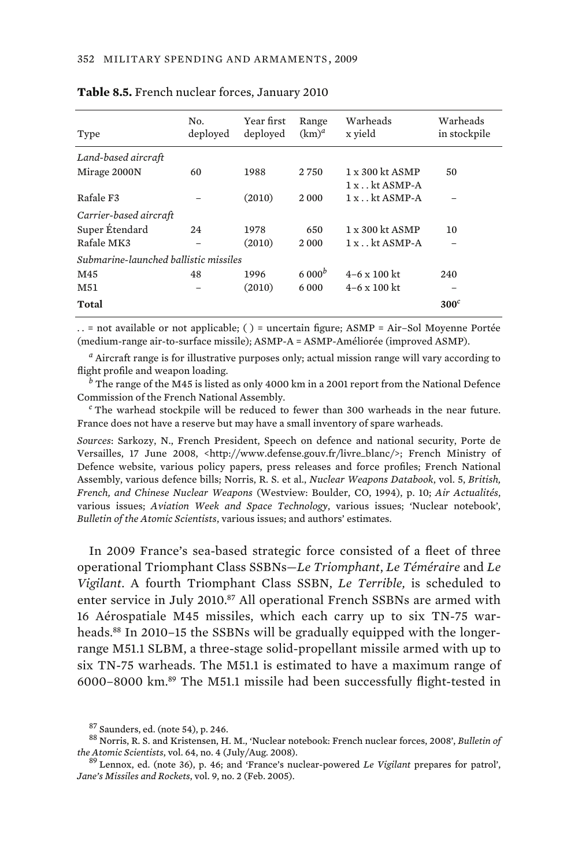| Type                                  | No.<br>deployed | Year first<br>deployed | Range<br>$(km)^d$ | Warheads<br>x yield    | Warheads<br>in stockpile |
|---------------------------------------|-----------------|------------------------|-------------------|------------------------|--------------------------|
| Land-based aircraft                   |                 |                        |                   |                        |                          |
| Mirage 2000N                          | 60              | 1988                   | 2 7 5 0           | $1 \times 300$ kt ASMP | 50                       |
|                                       |                 |                        |                   | $1x$ kt ASMP-A         |                          |
| Rafale F3                             |                 | (2010)                 | 2000              | $1x$ kt ASMP-A         |                          |
| Carrier-based aircraft                |                 |                        |                   |                        |                          |
| Super Étendard                        | 24              | 1978                   | 650               | $1 \times 300$ kt ASMP | 10                       |
| Rafale MK3                            |                 | (2010)                 | 2000              | $1x$ kt ASMP-A         |                          |
| Submarine-launched ballistic missiles |                 |                        |                   |                        |                          |
| M45                                   | 48              | 1996                   | 6000 <sup>b</sup> | $4-6 \times 100$ kt    | 240                      |
| M51                                   |                 | (2010)                 | 6 000             | $4-6 \times 100$ kt    |                          |
| Total                                 |                 |                        |                   |                        | $300^c$                  |

#### **Table 8.5.** French nuclear forces, January 2010

. . = not available or not applicable; ( ) = uncertain figure; ASMP = Air–Sol Moyenne Portée (medium-range air-to-surface missile); ASMP-A = ASMP-Améliorée (improved ASMP).

*a* Aircraft range is for illustrative purposes only; actual mission range will vary according to flight profile and weapon loading.

*b* The range of the M45 is listed as only 4000 km in a 2001 report from the National Defence Commission of the French National Assembly. *<sup>c</sup>*

 $c$  The warhead stockpile will be reduced to fewer than 300 warheads in the near future. France does not have a reserve but may have a small inventory of spare warheads.

*Sources*: Sarkozy, N., French President, Speech on defence and national security, Porte de Versailles, 17 June 2008, <http://www.defense.gouv.fr/livre\_blanc/>; French Ministry of Defence website, various policy papers, press releases and force profiles; French National Assembly, various defence bills; Norris, R. S. et al., *Nuclear Weapons Databook*, vol. 5, *British, French, and Chinese Nuclear Weapons* (Westview: Boulder, CO, 1994), p. 10; *Air Actualités*, various issues; *Aviation Week and Space Technology*, various issues; 'Nuclear notebook', *Bulletin of the Atomic Scientists*, various issues; and authors' estimates.

In 2009 France's sea-based strategic force consisted of a fleet of three operational Triomphant Class SSBNs—*Le Triomphant*, *Le Téméraire* and *Le Vigilant*. A fourth Triomphant Class SSBN, *Le Terrible,* is scheduled to enter service in July 2010.<sup>87</sup> All operational French SSBNs are armed with 16 Aérospatiale M45 missiles, which each carry up to six TN-75 warheads.<sup>88</sup> In 2010–15 the SSBNs will be gradually equipped with the longerrange M51.1 SLBM, a three-stage solid-propellant missile armed with up to six TN-75 warheads. The M51.1 is estimated to have a maximum range of 6000–8000 km.<sup>89</sup> The M51.1 missile had been successfully flight-tested in

<sup>&</sup>lt;sup>87</sup> Saunders, ed. (note 54), p. 246.<br><sup>88</sup> Norris, R. S. and Kristensen, H. M., 'Nuclear notebook: French nuclear forces, 2008', *Bulletin of the Atomic Scientists*, vol. 64, no. 4 (July/Aug. 2008). 89 Lennox, ed. (note 36), p. 46; and 'France's nuclear-powered *Le Vigilant* prepares for patrol',

*Jane's Missiles and Rockets*, vol. 9, no. 2 (Feb. 2005).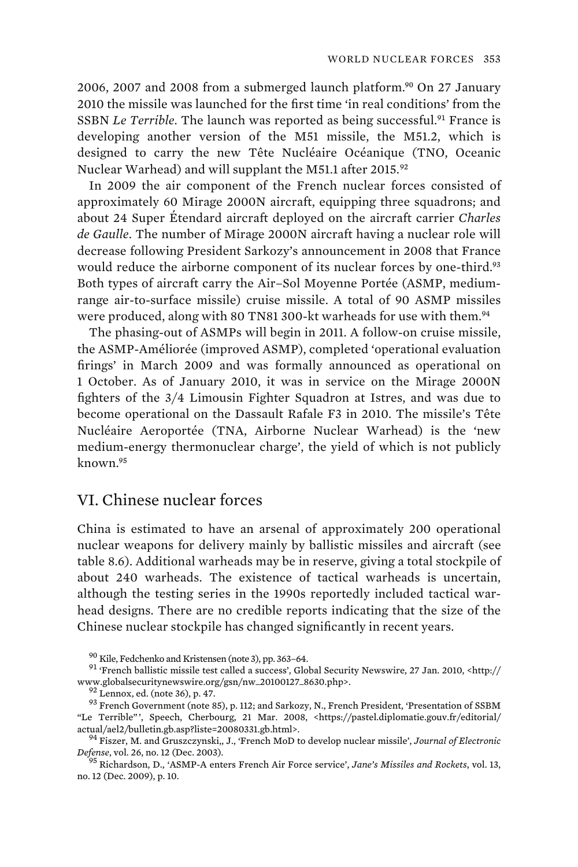2006, 2007 and 2008 from a submerged launch platform.<sup>90</sup> On 27 January 2010 the missile was launched for the first time 'in real conditions' from the SSBN *Le Terrible*. The launch was reported as being successful.<sup>91</sup> France is developing another version of the M51 missile, the M51.2, which is designed to carry the new Tête Nucléaire Océanique (TNO, Oceanic Nuclear Warhead) and will supplant the M51.1 after 2015.<sup>92</sup>

In 2009 the air component of the French nuclear forces consisted of approximately 60 Mirage 2000N aircraft, equipping three squadrons; and about 24 Super Étendard aircraft deployed on the aircraft carrier *Charles de Gaulle*. The number of Mirage 2000N aircraft having a nuclear role will decrease following President Sarkozy's announcement in 2008 that France would reduce the airborne component of its nuclear forces by one-third.<sup>93</sup> Both types of aircraft carry the Air–Sol Moyenne Portée (ASMP, mediumrange air-to-surface missile) cruise missile. A total of 90 ASMP missiles were produced, along with 80 TN81 300-kt warheads for use with them.<sup>94</sup>

The phasing-out of ASMPs will begin in 2011. A follow-on cruise missile, the ASMP-Améliorée (improved ASMP), completed 'operational evaluation firings' in March 2009 and was formally announced as operational on 1 October. As of January 2010, it was in service on the Mirage 2000N fighters of the 3/4 Limousin Fighter Squadron at Istres, and was due to become operational on the Dassault Rafale F3 in 2010. The missile's Tête Nucléaire Aeroportée (TNA, Airborne Nuclear Warhead) is the 'new medium-energy thermonuclear charge', the yield of which is not publicly  $k$ nown<sup>95</sup>

## VI. Chinese nuclear forces

China is estimated to have an arsenal of approximately 200 operational nuclear weapons for delivery mainly by ballistic missiles and aircraft (see table 8.6). Additional warheads may be in reserve, giving a total stockpile of about 240 warheads. The existence of tactical warheads is uncertain, although the testing series in the 1990s reportedly included tactical warhead designs. There are no credible reports indicating that the size of the Chinese nuclear stockpile has changed significantly in recent years.

<sup>&</sup>lt;sup>90</sup> Kile, Fedchenko and Kristensen (note 3), pp. 363–64.<br><sup>91</sup> 'French ballistic missile test called a success', Global Security Newswire, 27 Jan. 2010, <http://<br>www.globalsecuritynewswire.org/gsn/nw\_20100127\_8630.php>.

 $^{92}$  Lennox, ed. (note 36), p. 47.  $^{-1}$ <br> $^{93}$  French Government (note 85), p. 112; and Sarkozy, N., French President, 'Presentation of SSBM "Le Terrible"', Speech, Cherbourg, 21 Mar. 2008, <https://pastel.diplomatie.gouv.fr/editorial/<br>actual/ael2/bulletin.gb.asp?liste=20080331.gb.html>.

<sup>&</sup>lt;sup>94</sup> Fiszer, M. and Gruszczynski,, J., 'French MoD to develop nuclear missile', *Journal of Electronic Defense*, vol. 26, no. 12 (Dec. 2003). 95 Richardson, D., 'ASMP-A enters French Air Force service', *Jane's Missiles and Rockets*, vol. 13,

no. 12 (Dec. 2009), p. 10.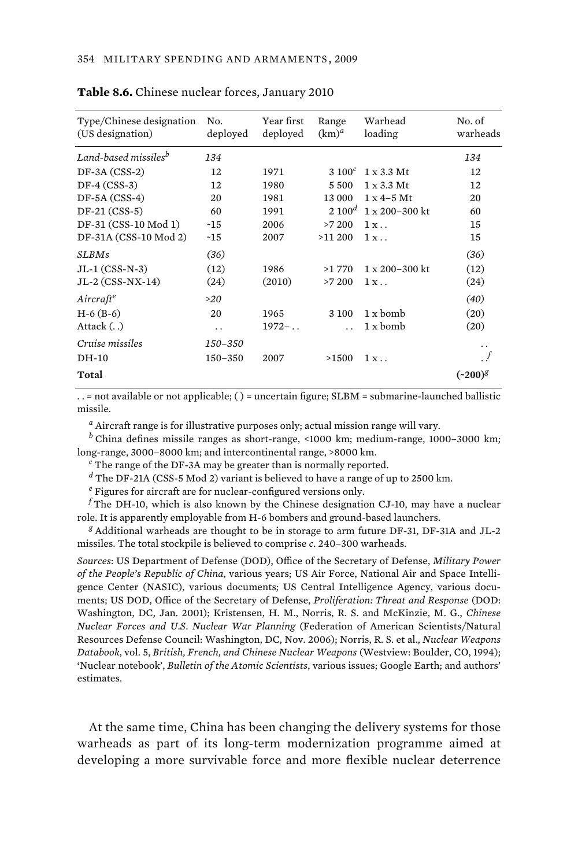| Type/Chinese designation<br>(US designation) | No.<br>deployed | Year first<br>deployed | Range<br>$(km)^d$ | Warhead<br>loading      | No. of<br>warheads    |
|----------------------------------------------|-----------------|------------------------|-------------------|-------------------------|-----------------------|
| Land-based missiles <sup>b</sup>             | 134             |                        |                   |                         | 134                   |
| $DF-3A (CSS-2)$                              | 12              | 1971                   | $3\,100^c$        | $1 \times 3.3$ Mt       | 12                    |
| $DF-4 (CSS-3)$                               | 12              | 1980                   | 5500              | $1 \times 3.3$ Mt       | 12                    |
| $DF-5A (CSS-4)$                              | 20              | 1981                   | 13 000            | $1 \times 4 - 5$ Mt     | 20                    |
| $DF-21 (CSS-5)$                              | 60              | 1991                   | $2 100^d$         | $1 \times 200 - 300$ kt | 60                    |
| DF-31 (CSS-10 Mod 1)                         | ~15             | 2006                   | >7200             | $1x$ .                  | 15                    |
| DF-31A (CSS-10 Mod 2)                        | ~15             | 2007                   | >11200            | $1x$ .                  | 15                    |
| <b>SLBMs</b>                                 | (36)            |                        |                   |                         | (36)                  |
| $JL-1$ (CSS-N-3)                             | (12)            | 1986                   | >1770             | $1 \times 200 - 300$ kt | (12)                  |
| JL-2 (CSS-NX-14)                             | (24)            | (2010)                 | >7200             | $1x$ .                  | (24)                  |
| Aircraft <sup>e</sup>                        | >20             |                        |                   |                         | (40)                  |
| $H-6$ (B-6)                                  | 20              | 1965                   | 3 100             | 1 x bomb                | (20)                  |
| Attack ()                                    | $\ddotsc$       | $1972 -$               |                   | 1 x bomb                | (20)                  |
| Cruise missiles                              | 150-350         |                        |                   |                         | . .                   |
| DH-10                                        | 150-350         | 2007                   | >1500             | 1x                      | $\cdot$ f             |
| Total                                        |                 |                        |                   |                         | $(*200)$ <sup>g</sup> |
|                                              |                 |                        |                   |                         |                       |

#### **Table 8.6.** Chinese nuclear forces, January 2010

. . = not available or not applicable; ( ) = uncertain figure; SLBM = submarine-launched ballistic missile.

*a* Aircraft range is for illustrative purposes only; actual mission range will vary.

*b* China defines missile ranges as short-range, <1000 km; medium-range, 1000–3000 km; long-range, 3000–8000 km; and intercontinental range, >8000 km.

 $c$  The range of the DF-3A may be greater than is normally reported.

*d* The DF-21A (CSS-5 Mod 2) variant is believed to have a range of up to 2500 km.

*e* Figures for aircraft are for nuclear-configured versions only.

*f* The DH-10, which is also known by the Chinese designation CJ-10, may have a nuclear role. It is apparently employable from H-6 bombers and ground-based launchers.

*g* Additional warheads are thought to be in storage to arm future DF-31, DF-31A and JL-2 missiles. The total stockpile is believed to comprise *c*. 240–300 warheads.

*Sources*: US Department of Defense (DOD), Office of the Secretary of Defense, *Military Power of the People's Republic of China*, various years; US Air Force, National Air and Space Intelligence Center (NASIC), various documents; US Central Intelligence Agency, various documents; US DOD, Office of the Secretary of Defense, *Proliferation: Threat and Response* (DOD: Washington, DC, Jan. 2001); Kristensen, H. M., Norris, R. S. and McKinzie, M. G., *Chinese Nuclear Forces and U.S. Nuclear War Planning* (Federation of American Scientists/Natural Resources Defense Council: Washington, DC, Nov. 2006); Norris, R. S. et al., *Nuclear Weapons Databook*, vol. 5, *British, French, and Chinese Nuclear Weapons* (Westview: Boulder, CO, 1994); 'Nuclear notebook', *Bulletin of the Atomic Scientists*, various issues; Google Earth; and authors' estimates.

At the same time, China has been changing the delivery systems for those warheads as part of its long-term modernization programme aimed at developing a more survivable force and more flexible nuclear deterrence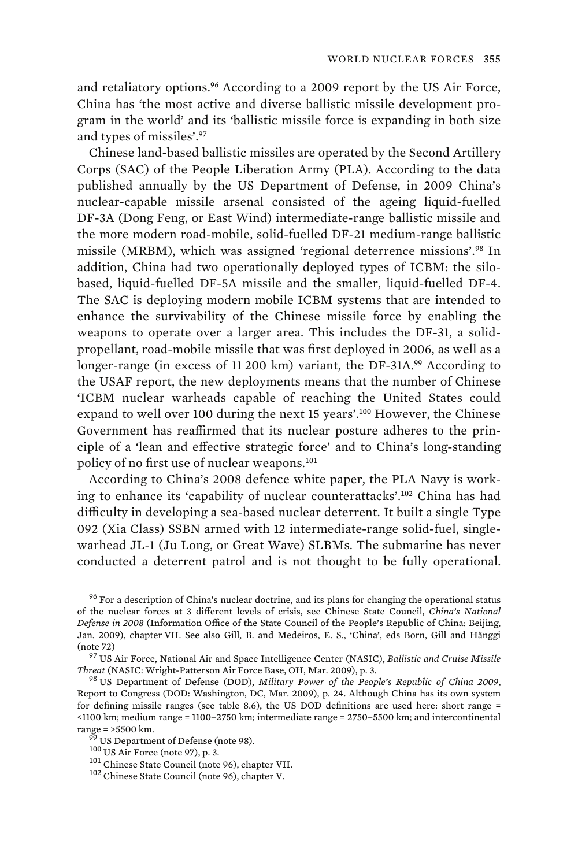and retaliatory options.<sup>96</sup> According to a 2009 report by the US Air Force. China has 'the most active and diverse ballistic missile development program in the world' and its 'ballistic missile force is expanding in both size and types of missiles'.<sup>97</sup>

Chinese land-based ballistic missiles are operated by the Second Artillery Corps (SAC) of the People Liberation Army (PLA). According to the data published annually by the US Department of Defense, in 2009 China's nuclear-capable missile arsenal consisted of the ageing liquid-fuelled DF-3A (Dong Feng, or East Wind) intermediate-range ballistic missile and the more modern road-mobile, solid-fuelled DF-21 medium-range ballistic missile (MRBM), which was assigned 'regional deterrence missions'.<sup>98</sup> In addition, China had two operationally deployed types of ICBM: the silobased, liquid-fuelled DF-5A missile and the smaller, liquid-fuelled DF-4. The SAC is deploying modern mobile ICBM systems that are intended to enhance the survivability of the Chinese missile force by enabling the weapons to operate over a larger area. This includes the DF-31, a solidpropellant, road-mobile missile that was first deployed in 2006, as well as a longer-range (in excess of 11 200 km) variant, the DF-31A.<sup>99</sup> According to the USAF report, the new deployments means that the number of Chinese 'ICBM nuclear warheads capable of reaching the United States could expand to well over 100 during the next 15 years'.<sup>100</sup> However, the Chinese Government has reaffirmed that its nuclear posture adheres to the principle of a 'lean and effective strategic force' and to China's long-standing policy of no first use of nuclear weapons.<sup>101</sup>

According to China's 2008 defence white paper, the PLA Navy is working to enhance its 'capability of nuclear counterattacks'.<sup>102</sup> China has had difficulty in developing a sea-based nuclear deterrent. It built a single Type 092 (Xia Class) SSBN armed with 12 intermediate-range solid-fuel, singlewarhead JL-1 (Ju Long, or Great Wave) SLBMs. The submarine has never conducted a deterrent patrol and is not thought to be fully operational.

<sup>96</sup> For a description of China's nuclear doctrine, and its plans for changing the operational status of the nuclear forces at 3 different levels of crisis, see Chinese State Council, *China's National Defense in 2008* (Information Office of the State Council of the People's Republic of China: Beijing, Jan. 2009), chapter VII. See also Gill, B. and Medeiros, E. S., 'China', eds Born, Gill and Hänggi

<sup>97</sup> US Air Force, National Air and Space Intelligence Center (NASIC), *Ballistic and Cruise Missile*<br>*Threat* (NASIC: Wright-Patterson Air Force Base, OH, Mar. 2009), p. 3.

<sup>98</sup> US Department of Defense (DOD), *Military Power of the People's Republic of China 2009*, Report to Congress (DOD: Washington, DC, Mar. 2009), p. 24. Although China has its own system for defining missile ranges (see table 8.6), the US DOD definitions are used here: short range = <1100 km; medium range = 1100–2750 km; intermediate range = 2750–5500 km; and intercontinental

<sup>&</sup>lt;sup>99</sup> US Department of Defense (note 98).<br><sup>100</sup> US Air Force (note 97), p. 3.<br><sup>101</sup> Chinese State Council (note 96), chapter VII.<br><sup>102</sup> Chinese State Council (note 96), chapter V.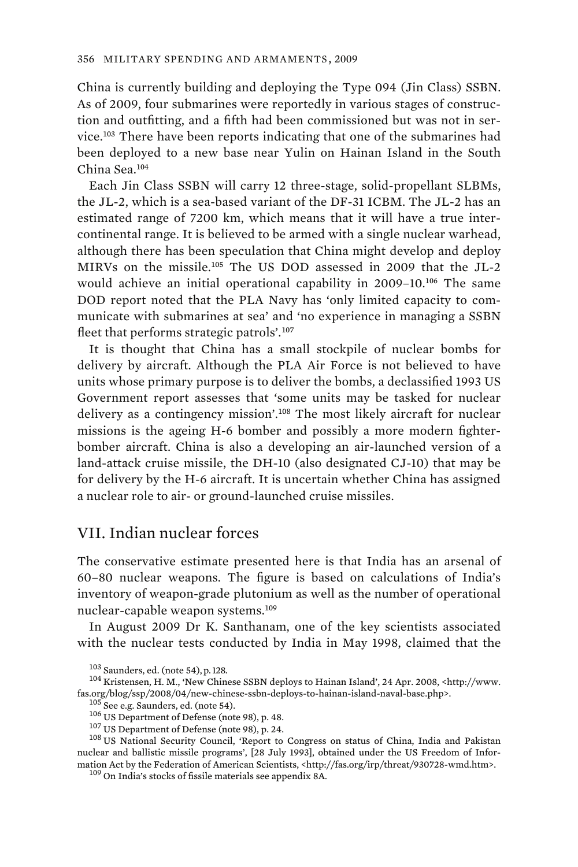China is currently building and deploying the Type 094 (Jin Class) SSBN. As of 2009, four submarines were reportedly in various stages of construction and outfitting, and a fifth had been commissioned but was not in service.<sup>103</sup> There have been reports indicating that one of the submarines had been deployed to a new base near Yulin on Hainan Island in the South China Sea.<sup>104</sup>

Each Jin Class SSBN will carry 12 three-stage, solid-propellant SLBMs, the JL-2, which is a sea-based variant of the DF-31 ICBM. The JL-2 has an estimated range of 7200 km, which means that it will have a true intercontinental range. It is believed to be armed with a single nuclear warhead, although there has been speculation that China might develop and deploy MIRVs on the missile.<sup>105</sup> The US DOD assessed in 2009 that the JL-2 would achieve an initial operational capability in 2009–10.<sup>106</sup> The same DOD report noted that the PLA Navy has 'only limited capacity to communicate with submarines at sea' and 'no experience in managing a SSBN fleet that performs strategic patrols'.<sup>107</sup>

It is thought that China has a small stockpile of nuclear bombs for delivery by aircraft. Although the PLA Air Force is not believed to have units whose primary purpose is to deliver the bombs, a declassified 1993 US Government report assesses that 'some units may be tasked for nuclear delivery as a contingency mission'.<sup>108</sup> The most likely aircraft for nuclear missions is the ageing H-6 bomber and possibly a more modern fighterbomber aircraft. China is also a developing an air-launched version of a land-attack cruise missile, the DH-10 (also designated CJ-10) that may be for delivery by the H-6 aircraft. It is uncertain whether China has assigned a nuclear role to air- or ground-launched cruise missiles.

# VII. Indian nuclear forces

The conservative estimate presented here is that India has an arsenal of 60–80 nuclear weapons. The figure is based on calculations of India's inventory of weapon-grade plutonium as well as the number of operational nuclear-capable weapon systems.<sup>109</sup>

In August 2009 Dr K. Santhanam, one of the key scientists associated with the nuclear tests conducted by India in May 1998, claimed that the

<sup>105</sup> See e.g. Saunders, ed. (note 54).<br><sup>106</sup> US Department of Defense (note 98), p. 48.<br><sup>107</sup> US Department of Defense (note 98), p. 24.<br><sup>107</sup> US National Security Council, 'Report to Congress on status of China, India a nuclear and ballistic missile programs', [28 July 1993], obtained under the US Freedom of Information Act by the Federation of American Scientists, <http://fas.org/irp/threat/930728-wmd.htm>.  $109$  On India's stocks of fissile materials see appendix 8A.

<sup>&</sup>lt;sup>103</sup> Saunders, ed. (note 54), p. 128.<br><sup>104</sup> Kristensen, H. M., 'New Chinese SSBN deploys to Hainan Island', 24 Apr. 2008, <http://www.<br>fas.org/blog/ssp/2008/04/new-chinese-ssbn-deploys-to-hainan-island-naval-base.php>.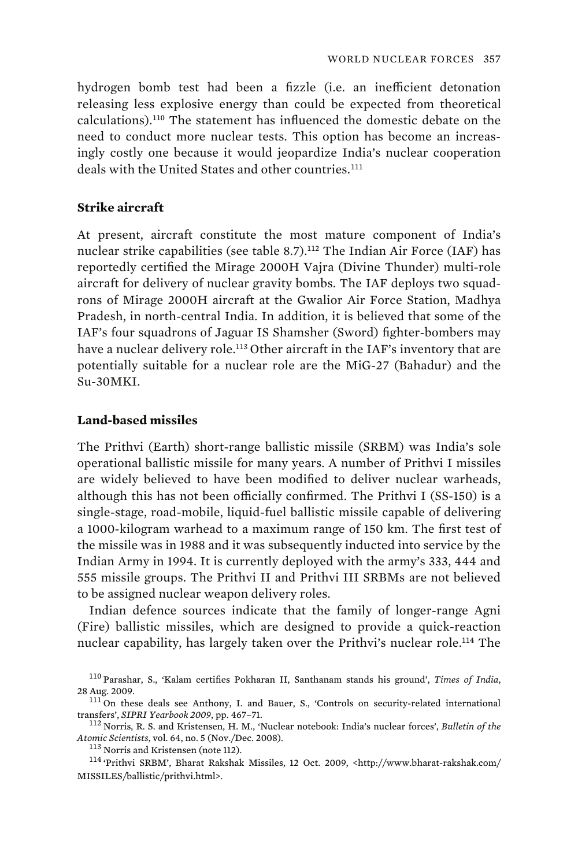hydrogen bomb test had been a fizzle (i.e. an inefficient detonation releasing less explosive energy than could be expected from theoretical calculations).<sup>110</sup> The statement has influenced the domestic debate on the need to conduct more nuclear tests. This option has become an increasingly costly one because it would jeopardize India's nuclear cooperation deals with the United States and other countries.<sup>111</sup>

### **Strike aircraft**

At present, aircraft constitute the most mature component of India's nuclear strike capabilities (see table 8.7).<sup>112</sup> The Indian Air Force (IAF) has reportedly certified the Mirage 2000H Vajra (Divine Thunder) multi-role aircraft for delivery of nuclear gravity bombs. The IAF deploys two squadrons of Mirage 2000H aircraft at the Gwalior Air Force Station, Madhya Pradesh, in north-central India. In addition, it is believed that some of the IAF's four squadrons of Jaguar IS Shamsher (Sword) fighter-bombers may have a nuclear delivery role.<sup>113</sup> Other aircraft in the IAF's inventory that are potentially suitable for a nuclear role are the MiG-27 (Bahadur) and the Su-30MKI.

### **Land-based missiles**

The Prithvi (Earth) short-range ballistic missile (SRBM) was India's sole operational ballistic missile for many years. A number of Prithvi I missiles are widely believed to have been modified to deliver nuclear warheads, although this has not been officially confirmed. The Prithvi I (SS-150) is a single-stage, road-mobile, liquid-fuel ballistic missile capable of delivering a 1000-kilogram warhead to a maximum range of 150 km. The first test of the missile was in 1988 and it was subsequently inducted into service by the Indian Army in 1994. It is currently deployed with the army's 333, 444 and 555 missile groups. The Prithvi II and Prithvi III SRBMs are not believed to be assigned nuclear weapon delivery roles.

Indian defence sources indicate that the family of longer-range Agni (Fire) ballistic missiles, which are designed to provide a quick-reaction nuclear capability, has largely taken over the Prithvi's nuclear role.<sup>114</sup> The

<sup>110</sup> Parashar, S., 'Kalam certifies Pokharan II, Santhanam stands his ground', *Times of India*,

<sup>&</sup>lt;sup>111</sup> On these deals see Anthony, I. and Bauer, S., 'Controls on security-related international transfers', *SIPRI Yearbook 2009*, pp. 467–71. 112 Norris, R. S. and Kristensen, H. M., 'Nuclear notebook: India's nuclear forces', *Bulletin of the* 

*Atomic Scientists*, vol. 64, no. 5 (Nov./Dec. 2008).<br><sup>113</sup> Norris and Kristensen (note 112).<br><sup>114</sup> 'Prithvi SRBM', Bharat Rakshak Missiles, 12 Oct. 2009, <http://www.bharat-rakshak.com/

MISSILES/ballistic/prithvi.html>.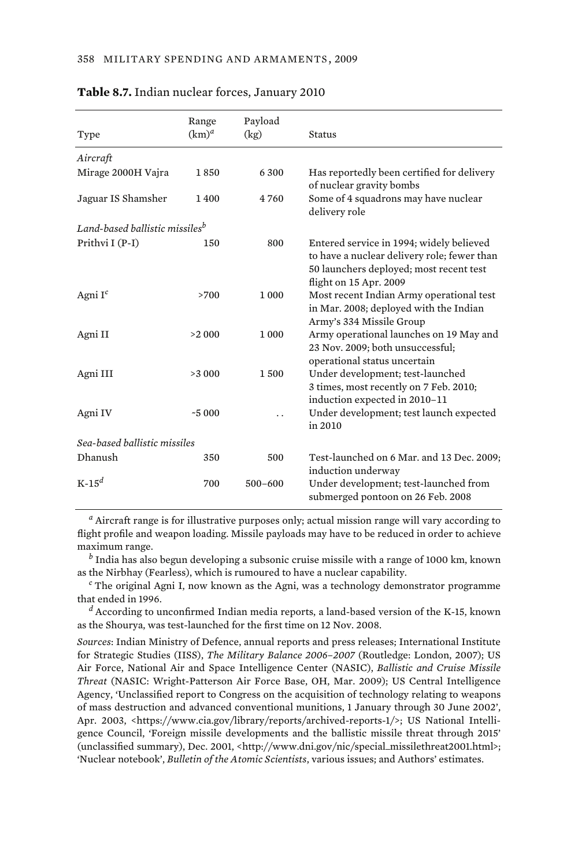|                                            | Range    | Payload     |                                                                                                                                                              |
|--------------------------------------------|----------|-------------|--------------------------------------------------------------------------------------------------------------------------------------------------------------|
| Type                                       | $(km)^a$ | (kg)        | <b>Status</b>                                                                                                                                                |
| Aircraft                                   |          |             |                                                                                                                                                              |
| Mirage 2000H Vajra                         | 1850     | 6 300       | Has reportedly been certified for delivery<br>of nuclear gravity bombs                                                                                       |
| Jaguar IS Shamsher                         | 1400     | 4 760       | Some of 4 squadrons may have nuclear<br>delivery role                                                                                                        |
| Land-based ballistic missiles <sup>b</sup> |          |             |                                                                                                                                                              |
| Prithvi I (P-I)                            | 150      | 800         | Entered service in 1994; widely believed<br>to have a nuclear delivery role; fewer than<br>50 launchers deployed; most recent test<br>flight on 15 Apr. 2009 |
| Agni $I^c$                                 | >700     | 1 0 0 0     | Most recent Indian Army operational test<br>in Mar. 2008; deployed with the Indian<br>Army's 334 Missile Group                                               |
| Agni II                                    | >2000    | 1 0 0 0     | Army operational launches on 19 May and<br>23 Nov. 2009; both unsuccessful;<br>operational status uncertain                                                  |
| Agni III                                   | >3000    | 1500        | Under development; test-launched<br>3 times, most recently on 7 Feb. 2010;<br>induction expected in 2010-11                                                  |
| Agni IV                                    | $-5000$  |             | Under development; test launch expected<br>in 2010                                                                                                           |
| Sea-based ballistic missiles               |          |             |                                                                                                                                                              |
| Dhanush                                    | 350      | 500         | Test-launched on 6 Mar. and 13 Dec. 2009;<br>induction underway                                                                                              |
| $K-15^d$                                   | 700      | $500 - 600$ | Under development; test-launched from<br>submerged pontoon on 26 Feb. 2008                                                                                   |

#### **Table 8.7.** Indian nuclear forces, January 2010

*a* Aircraft range is for illustrative purposes only; actual mission range will vary according to flight profile and weapon loading. Missile payloads may have to be reduced in order to achieve maximum range.

*b* India has also begun developing a subsonic cruise missile with a range of 1000 km, known as the Nirbhay (Fearless), which is rumoured to have a nuclear capability. *<sup>c</sup>*

 $c$ <sup>c</sup> The original Agni I, now known as the Agni, was a technology demonstrator programme that ended in 1996.

*d* According to unconfirmed Indian media reports, a land-based version of the K-15, known as the Shourya, was test-launched for the first time on 12 Nov. 2008.

*Sources*: Indian Ministry of Defence, annual reports and press releases; International Institute for Strategic Studies (IISS), *The Military Balance 2006–2007* (Routledge: London, 2007); US Air Force, National Air and Space Intelligence Center (NASIC), *Ballistic and Cruise Missile Threat* (NASIC: Wright-Patterson Air Force Base, OH, Mar. 2009); US Central Intelligence Agency, 'Unclassified report to Congress on the acquisition of technology relating to weapons of mass destruction and advanced conventional munitions, 1 January through 30 June 2002', Apr. 2003, <https://www.cia.gov/library/reports/archived-reports-1/>; US National Intelligence Council, 'Foreign missile developments and the ballistic missile threat through 2015' (unclassified summary), Dec. 2001, <http://www.dni.gov/nic/special\_missilethreat2001.html>; 'Nuclear notebook', *Bulletin of the Atomic Scientists*, various issues; and Authors' estimates.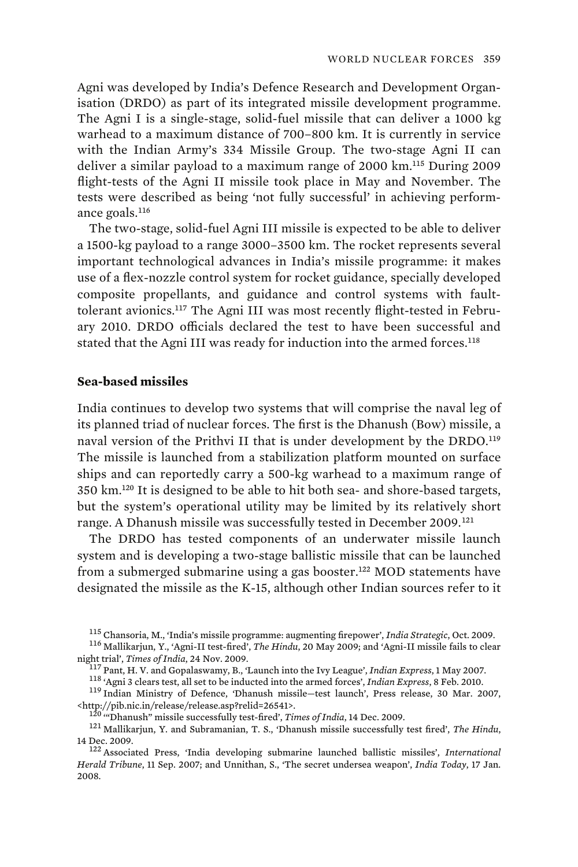Agni was developed by India's Defence Research and Development Organisation (DRDO) as part of its integrated missile development programme. The Agni I is a single-stage, solid-fuel missile that can deliver a 1000 kg warhead to a maximum distance of 700–800 km. It is currently in service with the Indian Army's 334 Missile Group. The two-stage Agni II can deliver a similar payload to a maximum range of 2000 km.<sup>115</sup> During 2009 flight-tests of the Agni II missile took place in May and November. The tests were described as being 'not fully successful' in achieving performance goals.<sup>116</sup>

The two-stage, solid-fuel Agni III missile is expected to be able to deliver a 1500-kg payload to a range 3000–3500 km. The rocket represents several important technological advances in India's missile programme: it makes use of a flex-nozzle control system for rocket guidance, specially developed composite propellants, and guidance and control systems with faulttolerant avionics.<sup>117</sup> The Agni III was most recently flight-tested in February 2010. DRDO officials declared the test to have been successful and stated that the Agni III was ready for induction into the armed forces.<sup>118</sup>

# **Sea-based missiles**

India continues to develop two systems that will comprise the naval leg of its planned triad of nuclear forces. The first is the Dhanush (Bow) missile, a naval version of the Prithvi II that is under development by the DRDO.<sup>119</sup> The missile is launched from a stabilization platform mounted on surface ships and can reportedly carry a 500-kg warhead to a maximum range of 350 km.<sup>120</sup> It is designed to be able to hit both sea- and shore-based targets, but the system's operational utility may be limited by its relatively short range. A Dhanush missile was successfully tested in December 2009.<sup>121</sup>

The DRDO has tested components of an underwater missile launch system and is developing a two-stage ballistic missile that can be launched from a submerged submarine using a gas booster.<sup>122</sup> MOD statements have designated the missile as the K-15, although other Indian sources refer to it

<sup>&</sup>lt;sup>115</sup> Chansoria, M., 'India's missile programme: augmenting firepower', *India Strategic*, Oct. 2009.<br><sup>116</sup> Mallikarjun, Y., 'Agni-II test-fired', *The Hindu*, 20 May 2009; and 'Agni-II missile fails to clear<br>night trial',

<sup>&</sup>lt;sup>117</sup> Pant, H. V. and Gopalaswamy, B., 'Launch into the Ivy League', *Indian Express*, 1 May 2007.<br><sup>118</sup> 'Agni 3 clears test, all set to be inducted into the armed forces', *Indian Express*, 8 Feb. 2010.<br><sup>119</sup> Indian Mini

<sup>&</sup>lt;sup>120</sup> "Dhanush" missile successfully test-fired', *Times of India*, 14 Dec. 2009.<br><sup>121</sup> Mallikarjun, Y. and Subramanian, T. S., 'Dhanush missile successfully test fired', *The Hindu*, 14 Dec. 2009. 122 Associated Press, 'India developing submarine launched ballistic missiles', *International* 

*Herald Tribune*, 11 Sep. 2007; and Unnithan, S., 'The secret undersea weapon', *India Today*, 17 Jan. 2008.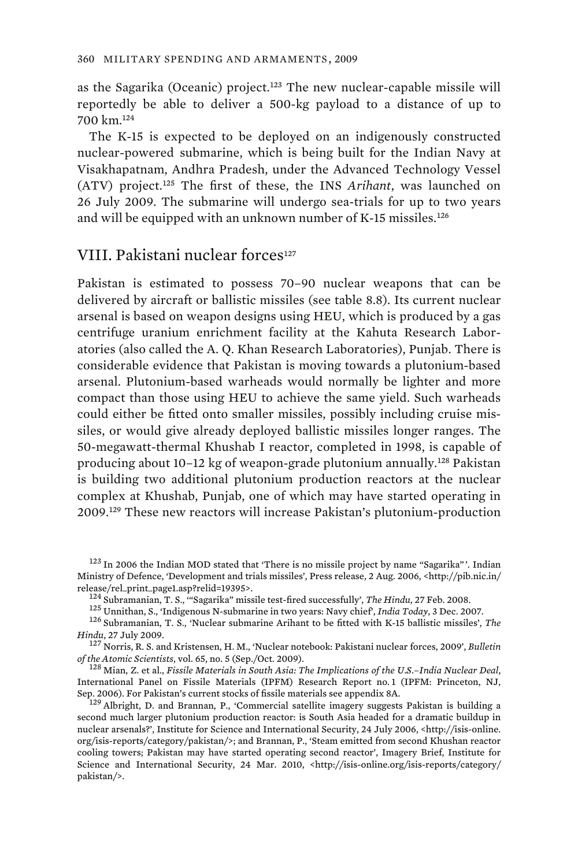as the Sagarika (Oceanic) project.<sup>123</sup> The new nuclear-capable missile will reportedly be able to deliver a 500-kg payload to a distance of up to 700 km.<sup>124</sup>

The K-15 is expected to be deployed on an indigenously constructed nuclear-powered submarine, which is being built for the Indian Navy at Visakhapatnam, Andhra Pradesh, under the Advanced Technology Vessel (ATV) project.<sup>125</sup> The first of these, the INS *Arihant*, was launched on 26 July 2009. The submarine will undergo sea-trials for up to two years and will be equipped with an unknown number of K-15 missiles.<sup>126</sup>

# VIII. Pakistani nuclear forces<sup>127</sup>

Pakistan is estimated to possess 70–90 nuclear weapons that can be delivered by aircraft or ballistic missiles (see table 8.8). Its current nuclear arsenal is based on weapon designs using HEU, which is produced by a gas centrifuge uranium enrichment facility at the Kahuta Research Laboratories (also called the A. Q. Khan Research Laboratories), Punjab. There is considerable evidence that Pakistan is moving towards a plutonium-based arsenal. Plutonium-based warheads would normally be lighter and more compact than those using HEU to achieve the same yield. Such warheads could either be fitted onto smaller missiles, possibly including cruise missiles, or would give already deployed ballistic missiles longer ranges. The 50-megawatt-thermal Khushab I reactor, completed in 1998, is capable of producing about 10–12 kg of weapon-grade plutonium annually.<sup>128</sup> Pakistan is building two additional plutonium production reactors at the nuclear complex at Khushab, Punjab, one of which may have started operating in 2009.<sup>129</sup> These new reactors will increase Pakistan's plutonium-production

<sup>&</sup>lt;sup>123</sup> In 2006 the Indian MOD stated that 'There is no missile project by name "Sagarika"'. Indian Ministry of Defence, 'Development and trials missiles', Press release, 2 Aug. 2006, <http://pib.nic.in/

<sup>&</sup>lt;sup>124</sup> Subramanian, T. S., "Sagarika" missile test-fired successfully', *The Hindu*, 27 Feb. 2008.<br><sup>125</sup> Unnithan, S., 'Indigenous N-submarine in two years: Navy chief', *India Today*, 3 Dec. 2007.<br><sup>126</sup> Subramanian, T. S.

*Hindu*, 27 July 2009.<br><sup>127</sup> Norris, R. S. and Kristensen, H. M., 'Nuclear notebook: Pakistani nuclear forces, 2009', *Bulletin of the Atomic Scientists*, vol. 65, no. 5 (Sep./Oct. 2009).

<sup>&</sup>lt;sup>128</sup> Mian, Z. et al., *Fissile Materials in South Asia: The Implications of the U.S.-India Nuclear Deal*, International Panel on Fissile Materials (IPFM) Research Report no. 1 (IPFM: Princeton, NJ, Sep. 2006). For Pakistan's current stocks of fissile materials see appendix 8A.

 $129$  Albright, D. and Brannan, P., 'Commercial satellite imagery suggests Pakistan is building a second much larger plutonium production reactor: is South Asia headed for a dramatic buildup in nuclear arsenals?', Institute for Science and International Security, 24 July 2006, <http://isis-online. org/isis-reports/category/pakistan/>; and Brannan, P., 'Steam emitted from second Khushan reactor cooling towers; Pakistan may have started operating second reactor', Imagery Brief, Institute for Science and International Security, 24 Mar. 2010, <http://isis-online.org/isis-reports/category/ pakistan/>.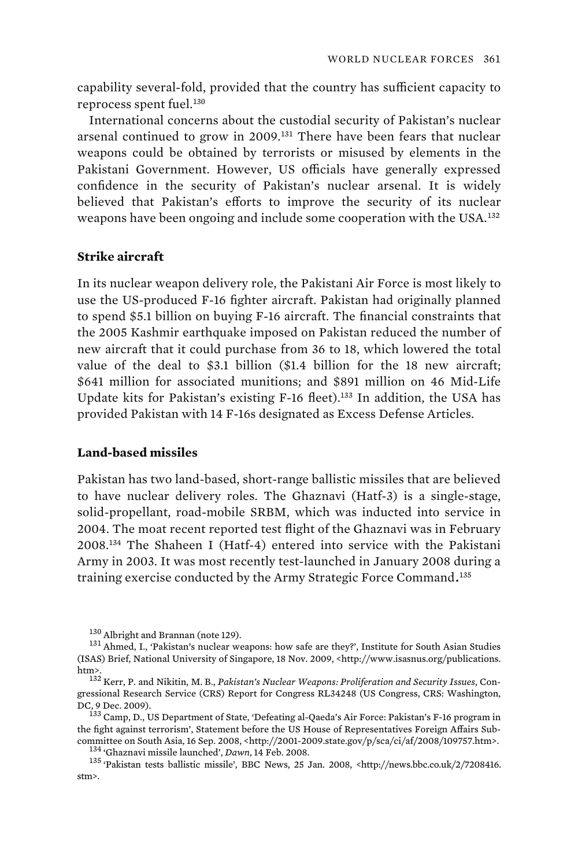capability several-fold, provided that the country has sufficient capacity to reprocess spent fuel.<sup>130</sup>

International concerns about the custodial security of Pakistan's nuclear arsenal continued to grow in 2009.<sup>131</sup> There have been fears that nuclear weapons could be obtained by terrorists or misused by elements in the Pakistani Government. However, US officials have generally expressed confidence in the security of Pakistan's nuclear arsenal. It is widely believed that Pakistan's efforts to improve the security of its nuclear weapons have been ongoing and include some cooperation with the USA.<sup>132</sup>

### **Strike aircraft**

In its nuclear weapon delivery role, the Pakistani Air Force is most likely to use the US-produced F-16 fighter aircraft. Pakistan had originally planned to spend \$5.1 billion on buying F-16 aircraft. The financial constraints that the 2005 Kashmir earthquake imposed on Pakistan reduced the number of new aircraft that it could purchase from 36 to 18, which lowered the total value of the deal to \$3.1 billion (\$1.4 billion for the 18 new aircraft; \$641 million for associated munitions; and \$891 million on 46 Mid-Life Update kits for Pakistan's existing F-16 fleet).<sup>133</sup> In addition, the USA has provided Pakistan with 14 F-16s designated as Excess Defense Articles.

### **Land-based missiles**

Pakistan has two land-based, short-range ballistic missiles that are believed to have nuclear delivery roles. The Ghaznavi (Hatf-3) is a single-stage, solid-propellant, road-mobile SRBM, which was inducted into service in 2004. The moat recent reported test flight of the Ghaznavi was in February 2008.<sup>134</sup> The Shaheen I (Hatf-4) entered into service with the Pakistani Army in 2003. It was most recently test-launched in January 2008 during a training exercise conducted by the Army Strategic Force Command. <sup>135</sup>

 $^{130}$  Albright and Brannan (note 129).  $^{131}$  Ahmed, I., 'Pakistan's nuclear weapons: how safe are they?', Institute for South Asian Studies (ISAS) Brief, National University of Singapore, 18 Nov. 2009, <http://www.isasnus.org/publications.

<sup>&</sup>lt;sup>132</sup> Kerr, P. and Nikitin, M. B., *Pakistan's Nuclear Weapons: Proliferation and Security Issues*, Congressional Research Service (CRS) Report for Congress RL34248 (US Congress, CRS: Washington,

DC, 9 Dec. 2009). 133 Camp, D., US Department of State, 'Defeating al-Qaeda's Air Force: Pakistan's F-16 program in the fight against terrorism', Statement before the US House of Representatives Foreign Affairs Sub-% committee on South Asia, 16 Sep. 2008, <http://2001-2009.state.gov/p/sca/ci/af/2008/109757.htm>. $^{134}$ 'Ghaznavi missile launched', *Dawn*, 14 Feb. 2008.<br> $^{135}$ 'Pakistan tests ballistic missile', BBC News, 25 Jan. 2008

stm>.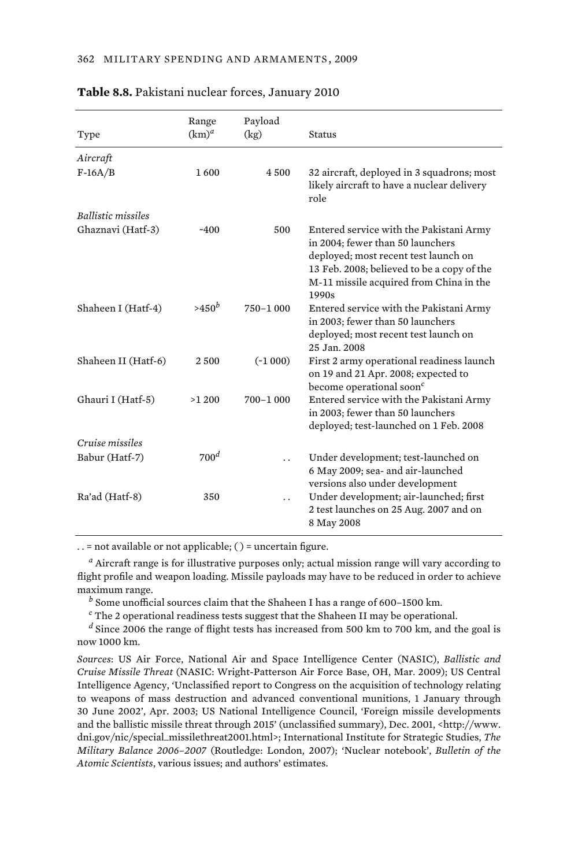|                           | Range            | Payload   |                                                                                                                                                                                                                       |
|---------------------------|------------------|-----------|-----------------------------------------------------------------------------------------------------------------------------------------------------------------------------------------------------------------------|
| Type                      | $(km)^a$         | (kg)      | Status                                                                                                                                                                                                                |
| Aircraft                  |                  |           |                                                                                                                                                                                                                       |
| $F-16A/B$                 | 1600             | 4 500     | 32 aircraft, deployed in 3 squadrons; most<br>likely aircraft to have a nuclear delivery<br>role                                                                                                                      |
| <b>Ballistic missiles</b> |                  |           |                                                                                                                                                                                                                       |
| Ghaznavi (Hatf-3)         | $-400$           | 500       | Entered service with the Pakistani Army<br>in 2004; fewer than 50 launchers<br>deployed; most recent test launch on<br>13 Feb. 2008; believed to be a copy of the<br>M-11 missile acquired from China in the<br>1990s |
| Shaheen I (Hatf-4)        | $>450^b$         | 750-1 000 | Entered service with the Pakistani Army<br>in 2003; fewer than 50 launchers<br>deployed; most recent test launch on<br>25 Jan. 2008                                                                                   |
| Shaheen II (Hatf-6)       | 2500             | $(*1000)$ | First 2 army operational readiness launch<br>on 19 and 21 Apr. 2008; expected to<br>become operational soon <sup>c</sup>                                                                                              |
| Ghauri I (Hatf-5)         | >1200            | 700-1 000 | Entered service with the Pakistani Army<br>in 2003; fewer than 50 launchers<br>deployed; test-launched on 1 Feb. 2008                                                                                                 |
| Cruise missiles           |                  |           |                                                                                                                                                                                                                       |
| Babur (Hatf-7)            | 700 <sup>d</sup> |           | Under development; test-launched on<br>6 May 2009; sea- and air-launched<br>versions also under development                                                                                                           |
| Ra'ad (Hatf-8)            | 350              |           | Under development; air-launched; first<br>2 test launches on 25 Aug. 2007 and on<br>8 May 2008                                                                                                                        |

#### **Table 8.8.** Pakistani nuclear forces, January 2010

. . = not available or not applicable; ( ) = uncertain figure.

*a* Aircraft range is for illustrative purposes only; actual mission range will vary according to flight profile and weapon loading. Missile payloads may have to be reduced in order to achieve maximum range. *<sup>b</sup>*

 $<sup>b</sup>$  Some unofficial sources claim that the Shaheen I has a range of 600–1500 km.</sup>

*c* The 2 operational readiness tests suggest that the Shaheen II may be operational.

*d* Since 2006 the range of flight tests has increased from 500 km to 700 km, and the goal is now 1000 km.

*Sources*: US Air Force, National Air and Space Intelligence Center (NASIC), *Ballistic and Cruise Missile Threat* (NASIC: Wright-Patterson Air Force Base, OH, Mar. 2009); US Central Intelligence Agency, 'Unclassified report to Congress on the acquisition of technology relating to weapons of mass destruction and advanced conventional munitions, 1 January through 30 June 2002', Apr. 2003; US National Intelligence Council, 'Foreign missile developments and the ballistic missile threat through 2015' (unclassified summary), Dec. 2001, <http://www. dni.gov/nic/special\_missilethreat2001.html>; International Institute for Strategic Studies, *The Military Balance 2006–2007* (Routledge: London, 2007); 'Nuclear notebook', *Bulletin of the Atomic Scientists*, various issues; and authors' estimates.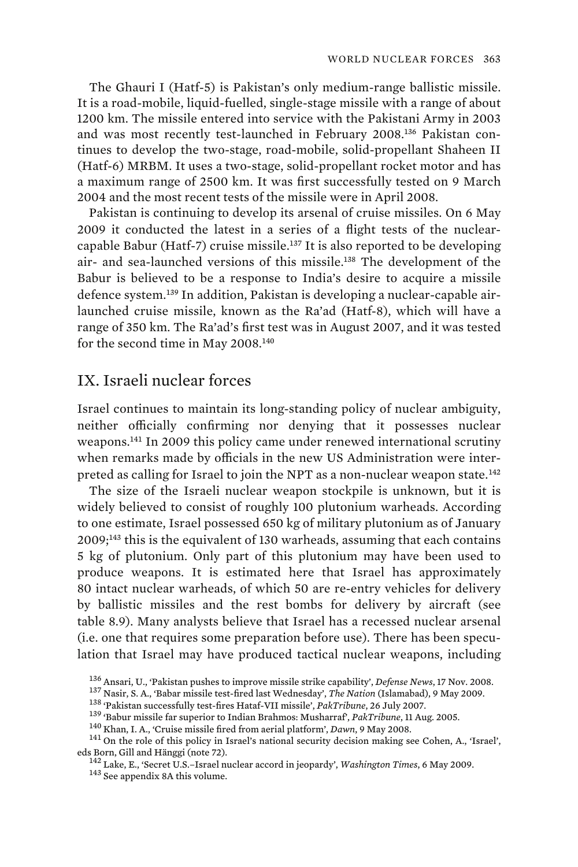The Ghauri I (Hatf-5) is Pakistan's only medium-range ballistic missile. It is a road-mobile, liquid-fuelled, single-stage missile with a range of about 1200 km. The missile entered into service with the Pakistani Army in 2003 and was most recently test-launched in February 2008.136 Pakistan continues to develop the two-stage, road-mobile, solid-propellant Shaheen II (Hatf-6) MRBM. It uses a two-stage, solid-propellant rocket motor and has a maximum range of 2500 km. It was first successfully tested on 9 March 2004 and the most recent tests of the missile were in April 2008.

Pakistan is continuing to develop its arsenal of cruise missiles. On 6 May 2009 it conducted the latest in a series of a flight tests of the nuclearcapable Babur (Hatf-7) cruise missile.<sup>137</sup> It is also reported to be developing air- and sea-launched versions of this missile.<sup>138</sup> The development of the Babur is believed to be a response to India's desire to acquire a missile defence system.139 In addition, Pakistan is developing a nuclear-capable airlaunched cruise missile, known as the Ra'ad (Hatf-8), which will have a range of 350 km. The Ra'ad's first test was in August 2007, and it was tested for the second time in May 2008.<sup>140</sup>

# IX. Israeli nuclear forces

Israel continues to maintain its long-standing policy of nuclear ambiguity, neither officially confirming nor denying that it possesses nuclear weapons.<sup>141</sup> In 2009 this policy came under renewed international scrutiny when remarks made by officials in the new US Administration were interpreted as calling for Israel to join the NPT as a non-nuclear weapon state.<sup>142</sup>

The size of the Israeli nuclear weapon stockpile is unknown, but it is widely believed to consist of roughly 100 plutonium warheads. According to one estimate, Israel possessed 650 kg of military plutonium as of January 2009;<sup>143</sup> this is the equivalent of 130 warheads, assuming that each contains 5 kg of plutonium. Only part of this plutonium may have been used to produce weapons. It is estimated here that Israel has approximately 80 intact nuclear warheads, of which 50 are re-entry vehicles for delivery by ballistic missiles and the rest bombs for delivery by aircraft (see table 8.9). Many analysts believe that Israel has a recessed nuclear arsenal (i.e. one that requires some preparation before use). There has been speculation that Israel may have produced tactical nuclear weapons, including

 $^{136}$  Ansari, U., 'Pakistan pushes to improve missile strike capability', Defense News, 17 Nov. 2008.<br> $^{137}$  Nasir, S. A., 'Babar missile test-fired last Wednesday', The Nation (Islamabad), 9 May 2009.<br> $^{138}$  'Pakista

eds Born, Gill and Hänggi (note 72). 142 Lake, E., 'Secret U.S.–Israel nuclear accord in jeopardy', *Washington Times*, 6 May 2009. 143 See appendix 8A this volume.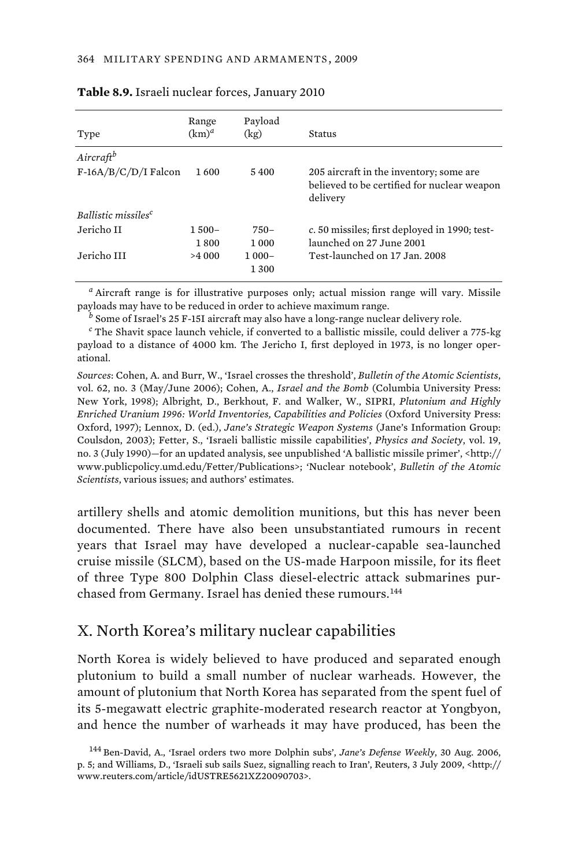| Type                            | Range<br>$(km)^d$ | Payload<br>(kg)   | Status                                                                                             |
|---------------------------------|-------------------|-------------------|----------------------------------------------------------------------------------------------------|
| Aircraftb                       |                   |                   |                                                                                                    |
| $F-16A/B/C/D/I$ Falcon          | 1600              | 5400              | 205 aircraft in the inventory; some are<br>believed to be certified for nuclear weapon<br>delivery |
| Ballistic missiles <sup>c</sup> |                   |                   |                                                                                                    |
| Jericho II                      | $1,500-$<br>1800  | $750-$<br>1 000   | c. 50 missiles; first deployed in 1990; test-<br>launched on 27 June 2001                          |
| Jericho III                     | >4 000            | $1000 -$<br>1 300 | Test-launched on 17 Jan. 2008                                                                      |

#### **Table 8.9.** Israeli nuclear forces, January 2010

*a* Aircraft range is for illustrative purposes only; actual mission range will vary. Missile payloads may have to be reduced in order to achieve maximum range.

*b* Some of Israel's 25 F-15I aircraft may also have a long-range nuclear delivery role.

*c* The Shavit space launch vehicle, if converted to a ballistic missile, could deliver a 775-kg payload to a distance of 4000 km. The Jericho I, first deployed in 1973, is no longer operational.

*Sources*: Cohen, A. and Burr, W., 'Israel crosses the threshold', *Bulletin of the Atomic Scientists*, vol. 62, no. 3 (May/June 2006); Cohen, A., *Israel and the Bomb* (Columbia University Press: New York, 1998); Albright, D., Berkhout, F. and Walker, W., SIPRI, *Plutonium and Highly Enriched Uranium 1996: World Inventories, Capabilities and Policies* (Oxford University Press: Oxford, 1997); Lennox, D. (ed.), *Jane's Strategic Weapon Systems* (Jane's Information Group: Coulsdon, 2003); Fetter, S., 'Israeli ballistic missile capabilities', *Physics and Society*, vol. 19, no. 3 (July 1990)—for an updated analysis, see unpublished 'A ballistic missile primer', <http:// www.publicpolicy.umd.edu/Fetter/Publications>; 'Nuclear notebook', *Bulletin of the Atomic Scientists*, various issues; and authors' estimates.

artillery shells and atomic demolition munitions, but this has never been documented. There have also been unsubstantiated rumours in recent years that Israel may have developed a nuclear-capable sea-launched cruise missile (SLCM), based on the US-made Harpoon missile, for its fleet of three Type 800 Dolphin Class diesel-electric attack submarines purchased from Germany. Israel has denied these rumours.<sup>144</sup>

# X. North Korea's military nuclear capabilities

North Korea is widely believed to have produced and separated enough plutonium to build a small number of nuclear warheads. However, the amount of plutonium that North Korea has separated from the spent fuel of its 5-megawatt electric graphite-moderated research reactor at Yongbyon, and hence the number of warheads it may have produced, has been the

<sup>144</sup> Ben-David, A., 'Israel orders two more Dolphin subs', *Jane's Defense Weekly*, 30 Aug. 2006, p. 5; and Williams, D., 'Israeli sub sails Suez, signalling reach to Iran', Reuters, 3 July 2009, <http:// www.reuters.com/article/idUSTRE5621XZ20090703>.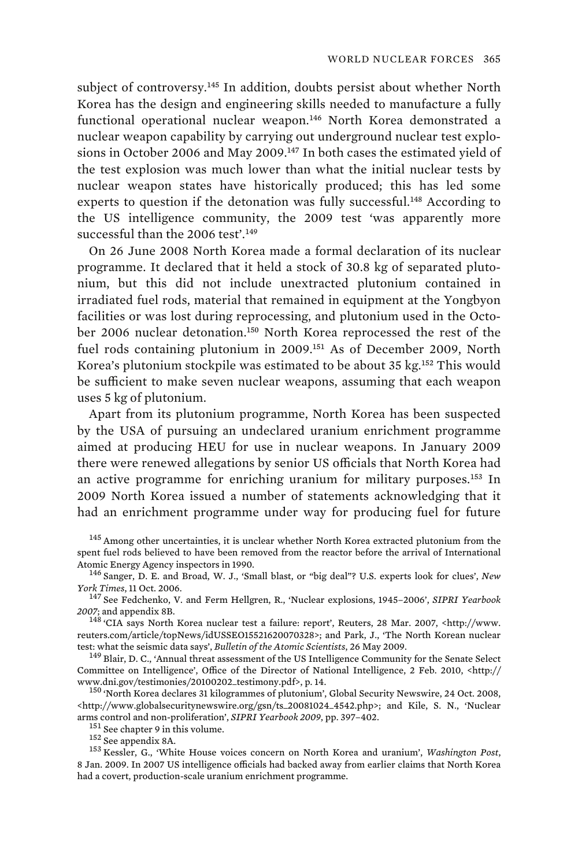subject of controversy.<sup>145</sup> In addition, doubts persist about whether North Korea has the design and engineering skills needed to manufacture a fully functional operational nuclear weapon.<sup>146</sup> North Korea demonstrated a nuclear weapon capability by carrying out underground nuclear test explosions in October 2006 and May 2009.<sup>147</sup> In both cases the estimated yield of the test explosion was much lower than what the initial nuclear tests by nuclear weapon states have historically produced; this has led some experts to question if the detonation was fully successful.<sup>148</sup> According to the US intelligence community, the 2009 test 'was apparently more successful than the 2006 test'.<sup>149</sup>

On 26 June 2008 North Korea made a formal declaration of its nuclear programme. It declared that it held a stock of 30.8 kg of separated plutonium, but this did not include unextracted plutonium contained in irradiated fuel rods, material that remained in equipment at the Yongbyon facilities or was lost during reprocessing, and plutonium used in the October 2006 nuclear detonation.<sup>150</sup> North Korea reprocessed the rest of the fuel rods containing plutonium in 2009.<sup>151</sup> As of December 2009, North Korea's plutonium stockpile was estimated to be about 35 kg.<sup>152</sup> This would be sufficient to make seven nuclear weapons, assuming that each weapon uses 5 kg of plutonium.

Apart from its plutonium programme, North Korea has been suspected by the USA of pursuing an undeclared uranium enrichment programme aimed at producing HEU for use in nuclear weapons. In January 2009 there were renewed allegations by senior US officials that North Korea had an active programme for enriching uranium for military purposes.<sup>153</sup> In 2009 North Korea issued a number of statements acknowledging that it had an enrichment programme under way for producing fuel for future

<sup>151</sup> See chapter 9 in this volume.<br><sup>152</sup> See appendix 8A.<br><sup>152</sup> Kessler, G., 'White House voices concern on North Korea and uranium', *Washington Post*, 8 Jan. 2009. In 2007 US intelligence officials had backed away from earlier claims that North Korea had a covert, production-scale uranium enrichment programme.

<sup>&</sup>lt;sup>145</sup> Among other uncertainties, it is unclear whether North Korea extracted plutonium from the spent fuel rods believed to have been removed from the reactor before the arrival of International

Atomic Energy Agency inspectors in 1990.<br><sup>146</sup> Sanger, D. E. and Broad, W. J., 'Small blast, or "big deal"? U.S. experts look for clues', *New York Times*, 11 Oct. 2006.

<sup>&</sup>lt;sup>147</sup> See Fedchenko, V. and Ferm Hellgren, R., 'Nuclear explosions, 1945–2006', *SIPRI Yearbook* 2007; and appendix 8B.

<sup>&</sup>lt;sup>148</sup> 'CIA says North Korea nuclear test a failure: report', Reuters, 28 Mar. 2007, <http://www. reuters.com/article/topNews/idUSSE015521620070328>; and Park, J., 'The North Korean nuclear<br>test: what the seismic data says', *Bulletin of the Atomic Scientists*, 26 May 2009.

<sup>&</sup>lt;sup>149</sup> Blair, D. C., 'Annual threat assessment of the US Intelligence Community for the Senate Select Committee on Intelligence', Office of the Director of National Intelligence, 2 Feb. 2010, <http://

<sup>&</sup>lt;sup>150</sup> 'North Korea declares 31 kilogrammes of plutonium', Global Security Newswire, 24 Oct. 2008, <http://www.globalsecuritynewswire.org/gsn/ts\_20081024\_4542.php>; and Kile, S. N., 'Nuclear